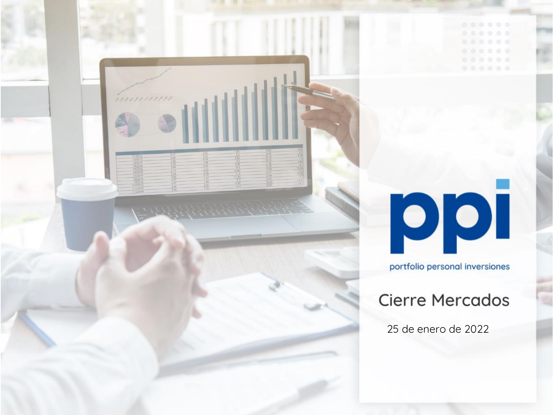

# ppi

portfolio personal inversiones

# **Cierre Mercados**

25 de enero de 2022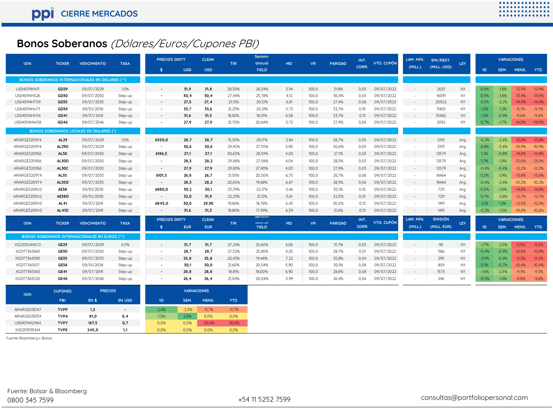# **Bonos Soberanos** (Dólares/Euros/Cupones PBI)

| <b>ISIN</b>  | <b>TICKER</b>  | <b>VENCIMIENTO</b>                                     | <b>TASA</b>              | <b>PRECIOS DIRTY</b>     |                    | <b>CLEAN</b> | <b>TIR</b> | Semmi-<br>annual       | <b>MD</b> | <b>VR</b> | <b>PARIDAD</b> | INT.        | VTO. CUPÓN | LAM. MÍN. | EMI/REST.      | LEY       |         | <b>VARIACIONES</b> |          |            |
|--------------|----------------|--------------------------------------------------------|--------------------------|--------------------------|--------------------|--------------|------------|------------------------|-----------|-----------|----------------|-------------|------------|-----------|----------------|-----------|---------|--------------------|----------|------------|
|              |                |                                                        |                          | $\mathbf{\hat{s}}$       | <b>USD</b>         | <b>USD</b>   |            | <b>YIELD</b>           |           |           |                | CORR.       |            | (MILL)    | (MILL. USD)    |           | 1D      | SEM.               | MENS.    | <b>YTD</b> |
|              |                | <b>BONOS SOBERANOS INTERNACIONALES EN DOLARES (**)</b> |                          |                          |                    |              |            |                        |           |           |                |             |            |           |                |           |         |                    |          |            |
| US040114HX11 | GD29           | 09/07/2029                                             | 1,0%                     |                          | 31,9               | 31,8         | 28,30%     | 26,54%                 | 3,94      | 100,0     | 31,8%          | 0,05        | 09/07/2022 | $\sim$    | 2635           | NY        | 0,4%    | $-1,8%$            | $-12,9%$ | $-12,9%$   |
| US040114HS26 | GD30           | 09/07/2030                                             | Step-up                  |                          | 30,4               | 30,4         | 27.44%     | 25.78%                 | 4,12      | 100.0     | 30,4%          | 0,03        | 09/07/2022 |           | 16091          | <b>NY</b> | 0,5%    | $-1,8%$            | $-13.4%$ | $-13.4%$   |
| US040114HT09 | GD35           | 09/07/2035                                             | Step-up                  | ٠                        | 27,5               | 27,4         | 21,13%     | 20,12%                 | 6,81      | 100,0     | 27,4%          | 0,06        | 09/07/2022 | $\sim$    | 20502          | NY        | 0,5%    | $-2,2%$            | $-14.4%$ | $-14,4%$   |
| US040114HU71 | GD38           | 09/01/2038                                             | Step-up                  |                          | 33,7               | 33,6         | 21,23%     | 20,21%                 | 5,73      | 100,0     | 33,7%          | 0,10        | 09/07/2022 | $\sim$    | 11405          | <b>NY</b> | 1,2%    | $-1,2%$            | $-11,7%$ | $-11,7%$   |
| US040114HV54 | GD41           | 09/07/2041                                             | Step-up                  |                          | 31,6               | 31,5         | 18,82%     | 18,01%                 | 6,58      | 100,0     | 33,7%          | 0,13        | 09/07/2022 |           | 10482          | NY        | 1,3%    | $-0,9%$            | $-11,6%$ | $-11,6%$   |
| US040114HW38 | GD46           | 09/07/2046                                             | Step-up                  |                          | 27,9               | 27,9         | 21.70%     | 20.64%                 | 5.72      | 100,0     | 27,9%          | 0,06        | 09/07/2022 |           | 2092           | NY.       | 0,7%    | $-1,7%$            | $-14,0%$ | $-14,0%$   |
|              |                | <b>BONOS SOBERANOS LOCALES EN DOLARES (*)</b>          |                          |                          |                    |              |            |                        |           |           |                |             |            |           |                |           |         |                    |          |            |
| ARARGE3209Y4 | AL29           | 09/07/2029                                             | 1,0%                     | 6550,0                   | 28,7               | 28,7         | 31,30%     | 29,17%                 | 3,84      | 100,0     | 28,7%          | 0,05        | 09/07/2022 | $\sim$    | 2193           | Arg.      | $-0,2%$ | $-2,4%$            | $-15,8%$ | $-15,8%$   |
| ARARGE3209Y4 | AL29D          | 09/07/2029                                             | Step-up                  | $\sim$                   | 30,6               | 30,6         | 29,45%     | 27.55%                 | 3.90      | 100.0     | 30,6%          | 0,05        | 09/07/2022 |           | 2193           | Arg.      | 0.8%    | $-3,4%$            | $-10.9%$ | $-10,9%$   |
| ARARGE3209S6 | <b>AL30</b>    | 09/07/2030                                             | Step-up                  | 6186,5                   | 27,1               | 27,1         | 30,63%     | 28,59%                 | 4,00      | 100,0     | 27,1%          | 0,03        | 09/07/2022 | $\sim$    | 12579          | Arg.      | 1,2%    | $-0,8%$            | $-14,8%$ | $-14,8%$   |
| ARARGE3209S6 | AL30D          | 09/07/2030                                             | Step-up                  | ٠                        | 28,3               | 28,2         | 29,48%     | 27,58%                 | 4,04      | 100,0     | 28,3%          | 0,03        | 09/07/2022 |           | 12579          | Arg.      | 1,7%    | $-1,9%$            | $-13,0%$ | $-13,0%$   |
| ARARGE3209S6 | AL30C          | 09/07/2030                                             | Step-up                  | $\overline{\phantom{a}}$ | 27,9               | 27,9         | 29,85%     | 27,90%                 | 4,03      | 100,0     | 27,9%          | 0,03        | 09/07/2022 | $\sim$    | 12579          | Arg.      | $-0,4%$ | $-0,4%$            | $-12,2%$ | $-12,2%$   |
| ARARGE3209T4 | AL35           | 09/07/2035                                             | Step-up                  | 6101,5                   | 26,8               | 26,7         | 21,55%     | 20,50%                 | 6,75      | 100,0     | 26,7%          | 0,06        | 09/07/2022 | $\sim$    | 18464          | Arg.      | 0,5%    | $-1,9%$            | $-13,6%$ | $-13,6%$   |
| ARARGE3209T4 | <b>AL35D</b>   | 09/07/2035                                             | Step-up                  | $\sim$                   | 28,3               | 28,2         | 20,65%     | 19,68%                 | 6,87      | 100,0     | 28,3%          | 0,06        | 09/07/2022 | $\sim$    | 18464          | Arg.      | $-0,4%$ | $-2,4%$            | $-10,2%$ | $-10,2%$   |
| ARARGE3209U2 | AE38           | 09/01/2038                                             | Step-up                  | 6880,0                   | 30,2               | 30,1         | 23,39%     | 22,17%                 | 5,46      | 100,0     | 30,1%          | 0,10        | 09/07/2022 | $\sim$    | 7211           | Arg.      | 0,5%    | $-1,4%$            | $-14,8%$ | $-14,8%$   |
| ARARGE3209U2 | <b>AE38D</b>   | 09/01/2038                                             | Step-up                  | $\sim$                   | 32,0               | 31,9         | 22,23%     | 21,12%                 | 5,61      | 100,0     | 32,0%          | 0,10        | 09/07/2022 | $\sim$    | 7211           | Arg.      | 0,7%    | $-2,8%$            | $-12,7%$ | $-12,7%$   |
| ARARGE3209V0 | <b>AL41</b>    | 09/07/2041                                             | Step-up                  | 6845,0                   | 30,0               | 29,90        | 19,66%     | 18.78%                 | 6,43      | 100,0     | 30,0%          | 0,13        | 09/07/2022 |           | 1491           | Arg.      | 2,1%    | 1,2%               | $-12,5%$ | $-12,5%$   |
| ARARGE3209V0 | AL41D          | 09/07/2041                                             | Step-up                  | $\overline{\phantom{a}}$ | 31,6               | 31,5         | 18,80%     | 17.99%                 | 6,59      | 100,0     | 31,6%          | 0,13        | 09/07/2022 | $\sim$    | 1491           | Arg.      | $-0,3%$ | $-1,3%$            | $-10,8%$ | $-10,8%$   |
|              |                |                                                        |                          | <b>PRECIOS DIRTY</b>     |                    | <b>CLEAN</b> |            | Semm                   |           |           |                | INT.        |            | LAM. MÍN. | <b>EMISIÓN</b> |           |         | <b>VARIACIONES</b> |          |            |
| <b>ISIN</b>  | <b>TICKER</b>  | <b>VENCIMIENTO</b>                                     | <b>TASA</b>              | -\$                      | <b>EUR</b>         | <b>EUR</b>   | <b>TIR</b> | annual<br><b>YIELD</b> | <b>MD</b> | <b>VR</b> | <b>PARIDAD</b> | <b>CORR</b> | VTO. CUPÓN | (MILL)    | (MILL. EUR)    | LEY       | 1D      | SEM.               | MENS.    | <b>YTD</b> |
|              |                | <b>BONOS SOBERANOS INTERNACIONALES EN EUROS (**)</b>   |                          |                          |                    |              |            |                        |           |           |                |             |            |           |                |           |         |                    |          |            |
| XS2200244072 | <b>GE29</b>    | 09/07/2029                                             | 0,5%                     |                          | 31.7               | 31,7         | 27,24%     | 25.60%                 | 4,06      | 100,0     | 31,7%          | 0,03        | 09/07/2022 |           | 90             | NY.       | $-1.7%$ | $-2,5%$            | $-11.5%$ | $-11.5%$   |
| XS2177363665 | <b>GE30</b>    | 09/07/2030                                             | Step-up                  | $\overline{\phantom{0}}$ | 28,7               | 28,7         | 27,52%     | 25,85%                 | 4,20      | 100,0     | 28,7%          | 0,01        | 09/07/2022 |           | 1166           | NY        | $-0,4%$ | $-0,9%$            | $-10,8%$ | $-10,8%$   |
| XS2177364390 | <b>GE35</b>    | 09/07/2035                                             | Step-up                  |                          | 25,8               | 25,8         | 20,43%     | 19,48%                 | 7,22      | 100,0     | 25,8%          | 0,04        | 09/07/2022 | $\sim$    | 299            | NY.       | $-0,1%$ | $-0,9%$            | $-11,2%$ | $-11,2%$   |
| XS2177365017 | <b>GE38</b>    | 09/01/2038                                             | Step-up                  |                          | 30,1               | 30,0         | 21,60%     | 20,54%                 | 5,90      | 100,0     | 30,1%          | 0,08        | 09/07/2022 |           | 809            | NY        | 0,1%    | $-0,7%$            | $-10,4%$ | $-10,4%$   |
| XS2177365363 | <b>GE41</b>    | 09/07/2041                                             | Step-up                  |                          | 28,8               | 28,8         | 18,81%     | 18,00%                 | 6,90      | 100,0     | 28,8%          | 0,08        | 09/07/2022 | $\sim$    | 1573           | NY.       | $-1,6%$ | $-2,5%$            | $-9.3%$  | $-9,3%$    |
| XS2177365520 | <b>GE46</b>    | 09/07/2046                                             | Step-up                  |                          | 26, 4              | 26,4         | 21,04%     | 20,04%                 | 5.99      | 100,0     | 26,4%          | 0,04        | 09/07/2022 |           | 248            | NY        | $-0,5%$ | $-1.4%$            | $-9,8%$  | $-9,8%$    |
| <b>ISIN</b>  | <b>CUPONES</b> | <b>PRECIOS</b>                                         |                          |                          | <b>VARIACIONES</b> |              |            |                        |           |           |                |             |            |           |                |           |         |                    |          |            |
|              | PBI            | <b>EN \$</b>                                           | <b>EN USD</b>            | 1D                       | SEM.               | MENS.        | <b>YTD</b> |                        |           |           |                |             |            |           |                |           |         |                    |          |            |
| ARARGE03E147 | <b>TVPP</b>    | 1, 3                                                   | $\overline{\phantom{a}}$ | 2,4%                     | $-2,3%$            | $-11,7%$     | $-11,7%$   |                        |           |           |                |             |            |           |                |           |         |                    |          |            |
| ARARGE03E154 | <b>TVPA</b>    | 81,0                                                   | 0,4                      | 1,3%                     | 2,5%               | 0,0%         | 0,0%       |                        |           |           |                |             |            |           |                |           |         |                    |          |            |
| US040114GM64 | <b>TVPY</b>    | 167.5                                                  | 0,7                      | 0.0%                     | 0,0%               | $-20.6%$     | $-20.6%$   |                        |           |           |                |             |            |           |                |           |         |                    |          |            |
| XS0209139244 | <b>TVPE</b>    | 245.0                                                  | 1.1                      | 0.0%                     | 0.0%               | 0.0%         | 0.0%       |                        |           |           |                |             |            |           |                |           |         |                    |          |            |

Fuente: Bloomberg + Bolsar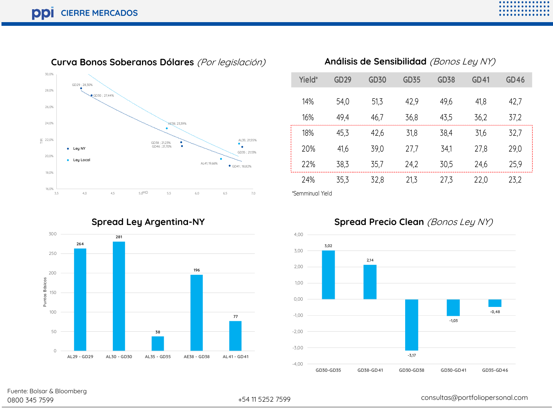

**Curva Bonos Soberanos Dólares** (Por legislación) **Análisis de Sensibilidad** (Bonos Ley NY)



# **Yield\* GD29 GD30 GD35 GD38 GD41 GD46** 14% 54,0 51,3 42,9 49,6 41,8 42,7 16% 49,4 46,7 36,8 43,5 36,2 37,2 18% 45,3 42,6 31,8 38,4 31,6 32,7 20% 41,6 39,0 27,7 34,1 27,8 29,0 22% 38,3 35,7 24,2 30,5 24,6 25,9 24% 35,3 32,8 21,3 27,3 22,0 23,2

\*Semminual Yield



#### **Spread Precio Clean** (Bonos Ley NY)

**Spread Ley Argentina-NY**



Fuente: Bolsar & Bloomberg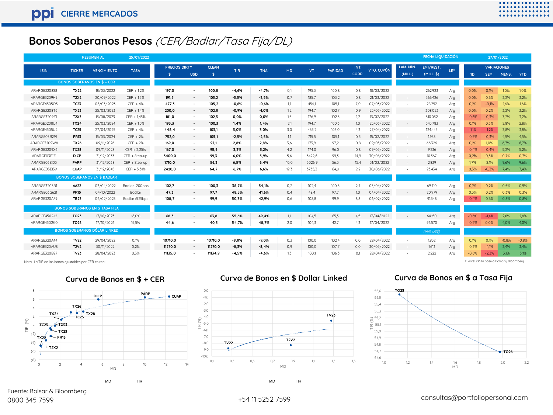# **Bonos Soberanos Pesos** (CER/Badlar/Tasa Fija/DL)

|                                                      |                  | <b>RESUMEN AL</b>                      | 25/01/2022      |                      |                          |              |            |            |           |        |                |       |            |           | <b>FECHA LIQUIDACIÓN</b> |     |                |                    | 27/01/2022                              |            |
|------------------------------------------------------|------------------|----------------------------------------|-----------------|----------------------|--------------------------|--------------|------------|------------|-----------|--------|----------------|-------|------------|-----------|--------------------------|-----|----------------|--------------------|-----------------------------------------|------------|
| <b>ISIN</b>                                          | <b>TICKER</b>    | <b>VENCIMIENTO</b>                     | <b>TASA</b>     | <b>PRECIOS DIRTY</b> |                          | <b>CLEAN</b> | <b>TIR</b> | <b>TNA</b> | <b>MD</b> | VT.    | <b>PARIDAD</b> | INT.  | VTO. CUPÓN | LAM. MÍN. | EMI/REST.                | LEY |                | <b>VARIACIONES</b> |                                         |            |
|                                                      |                  |                                        |                 | -\$                  | <b>USD</b>               | \$           |            |            |           |        |                | CORR. |            | (MILL)    | $(MILL.$ \$)             |     | 1 <sub>D</sub> | SEM.               | MENS.                                   | <b>YTD</b> |
|                                                      |                  | <b>BONOS SOBERANOS EN \$ + CER</b>     |                 |                      |                          |              |            |            |           |        |                |       |            |           |                          |     |                |                    |                                         |            |
| ARARGE3208S8                                         | <b>TX22</b>      | 18/03/2022                             | $CER + 1,2%$    | 197.0                | ٠                        | 100.8        | $-4.6%$    | $-4.7%$    | 0.1       | 195.3  | 100,8          | 0.8   | 18/03/2022 | $\sim$    | 262.923                  | Arg | 0.0%           | 0.1%               | 1.0%                                    | 1,0%       |
| ARARGE3209H9                                         | T2X2             | 20/09/2022                             | $CER + 1,3%$    | 191,5                | $\sim$                   | 103,2        | $-3,5%$    | $-3,5%$    | 0,7       | 185,7  | 103,2          | 0.8   | 21/03/2022 | $\sim$    | 366.426                  | Arg | 0,0%           | 0,6%               | 3,2%                                    | 3,2%       |
| ARARGE4505O5                                         | <b>TC23</b>      | 06/03/2023                             | $CER + 4%$      | 477,3                | ٠                        | 105,2        | $-0.6%$    | $-0.6%$    | 1.1       | 454.1  | 105,1          | 7.0   | 07/03/2022 | $\sim$    | 28.292                   | Arg | 0.1%           | $-0,1%$            | 1.6%                                    | 1,6%       |
| ARARGE3208T6                                         | <b>TX23</b>      | 25/03/2023                             | $CER + 1.4%$    | 200.0                | $\sim$                   | 102.8        | $-0.9%$    | $-1.0%$    | 1,2       | 194.7  | 102,7          | 0.9   | 25/03/2022 | $\sim$    | 308.023                  | Arg | 0,0%           | 0,2%               | 3.2%                                    | 3,2%       |
| ARARGE3209Z1                                         | T2X3             | 13/08/2023                             | CER + 1.45%     | 181,0                | ٠                        | 102,3        | 0.0%       | 0.0%       | 1.5       | 176.9  | 102,3          | 1.2   | 13/02/2022 | $\sim$    | 310.032                  | Arg | $-0.6%$        | $-0,3%$            | 3.2%                                    | 3,2%       |
| ARARGE3208U4                                         | <b>TX24</b>      | 25/03/2024                             | $CER + 1,5%$    | 195.3                | $\sim$                   | 100,3        | 1.4%       | 1.4%       | 2,1       | 194.7  | 100,3          | 1.0   | 25/03/2022 | $\sim$    | 345.783                  | Arg | 0.1%           | 0.3%               | 2.8%                                    | 2,8%       |
| ARARGE4505U2                                         | <b>TC25</b>      | 27/04/2025                             | $CER + 4%$      | 448,4                | ٠                        | 103,1        | 3.0%       | 3.0%       | 3.0       | 435.2  | 103,0          | 4.3   | 27/04/2022 | $\sim$    | 124.445                  | Arg | $-1.1%$        | $-1,2%$            | 3.8%                                    | 3,8%       |
| ARARGE03B291                                         | <b>PR13</b>      | 15/03/2024                             | $CER + 2%$      | 752,0                | $\sim$                   | 105,1        | $-2.5%$    | $-2.5%$    | 1,1       | 715.5  | 105,1          | 0.5   | 15/02/2022 |           | 1.933                    | Arg | $-0.5%$        | $-0,3%$            | 4.5%                                    | 4,5%       |
| ARARGE3209W8                                         | <b>TX26</b>      | 09/11/2026                             | $CER + 2%$      | 169.0                | ٠                        | 97.1         | 2.8%       | 2.8%       | 3.6       | 173.9  | 97,2           | 0.8   | 09/05/2022 | ٠         | 66.326                   | Arg | 0.1%           | 1.0%               | 6,7%                                    | 6,7%       |
| ARARGE3209X6                                         | <b>TX28</b>      | 09/11/2028                             | $CER + 2,25%$   | 167,0                | $\sim$                   | 95,9         | 3,3%       | 3,2%       | 4,2       | 174,0  | 96,0           | 0.8   | 09/05/2022 | $\sim$    | 9.236                    | Arg | $-0.4%$        | $-0,4%$            | 5,2%                                    | 5,2%       |
| ARARGE03E121                                         | <b>DICP</b>      | 31/12/2033                             | CER + Step-up   | 3400,0               | ٠                        | 99,3         | 6.0%       | 5,9%       | 5.6       | 3422,6 | 99,3           | 14.9  | 30/06/2022 | $\sim$    | 10.567                   | Arg | 0,2%           | 0,5%               | 0.7%                                    | 0,7%       |
| ARARGE03E105                                         | PARP             | 31/12/2038                             | $CER + Step-up$ | 1710,0               | ٠                        | 56,3         | 6.5%       | 6.4%       | 10,0      | 3026,9 | 56,5           | 15.4  | 31/03/2022 | $\sim$    | 2.839                    | Arg | 1.7%           | 2.1%               | 9.6%                                    | 9,6%       |
| ARARGE03E139                                         | <b>CUAP</b>      | 31/12/2045                             | $CER + 3,31%$   | 2420,0               | ٠                        | 64,7         | 6.7%       | 6,6%       | 12,3      | 3735,3 | 64,8           | 9,2   | 30/06/2022 | ٠         | 23.434                   | Arg | 0.3%           | $-0,3%$            | 7,4%                                    | 7,4%       |
|                                                      |                  | <b>BONOS SOBERANOS EN \$ BADLAR</b>    |                 |                      |                          |              |            |            |           |        |                |       |            |           |                          |     |                |                    |                                         |            |
| ARARGE3203R1                                         | AA22             | 03/04/2022                             | Badlar+200pbs   | 102.7                | $\overline{\phantom{a}}$ | 100.3        | 38.7%      | 34.1%      | 0.2       | 102.4  | 100.3          | 2.4   | 03/04/2022 |           | 69.410                   | Arg | 0.1%           | 0.2%               | 0.5%                                    | 0,5%       |
| ARARGE03G621                                         | <b>PR15</b>      | 04/10/2022                             | Badlar          | 47.3                 | $\sim$                   | 97.7         | 48.5%      | 41.6%      | 0.4       | 48.4   | 97.7           | 1.0   | 04/04/2022 | $\sim$    | 20.979                   | Arg | 0.3%           | 0.2%               | 0.3%                                    | 0,3%       |
| ARARGE320AF9                                         | <b>TB23</b>      | 06/02/2023                             | Badlar+525bps   | 108,7                |                          | 99,9         | 50,3%      | 42,9%      | 0,6       | 108,8  | 99,9           | 8.8   | 06/02/2022 |           | 91.548                   | Arg | $-0.4%$        | 0,6%               | 0,8%                                    | 0,8%       |
|                                                      |                  | <b>BONOS SOBERANOS EN \$ TASA FIJA</b> |                 |                      |                          |              |            |            |           |        |                |       |            |           |                          |     |                |                    |                                         |            |
| ARARGE4502J2                                         | <b>TO23</b>      | 17/10/2023                             | 16.0%           | 68,3                 | $\sim$                   | 63.8         | 55.6%      | 49.4%      | 1.1       | 104.5  | 65,3           | 4.5   | 17/04/2022 | $\sim$    | 64.150                   | Arg | $-0.6%$        | $-1.4%$            | 2.8%                                    | 2,8%       |
| ARARGE4502K0                                         | TO <sub>26</sub> | 17/10/2026                             | 15.5%           | 44.6                 | ٠                        | 40.3         | 54.7%      | 48.7%      | 2.0       | 104.3  | 42.7           | 4.3   | 17/04/2022 | ٠         | 96.570                   | Ara | $-0.5%$        | 0,0%               | 4.0%                                    | 4,0%       |
|                                                      |                  | <b>BONOS SOBERANOS DÓLAR LINKED</b>    |                 |                      |                          |              |            |            |           |        |                |       |            |           | (Mill. US\$)             |     |                |                    |                                         |            |
| ARARGE320A44                                         | <b>TV22</b>      | 29/04/2022                             | 0,1%            | 10710,0              | ٠                        | 10710,0      | $-8.8%$    | $-9.0%$    | 0.3       | 100.0  | 102,4          | 0.0   | 29/04/2022 | $\sim$    | 1.952                    | Arg | 0,1%           | 0,1%               | $-0,8%$                                 | $-0,8%$    |
| ARARGE320AU8                                         | <b>T2V2</b>      | 30/11/2022                             | 0,2%            | 11270.0              | $\sim$                   | 11270.0      | $-8.3%$    | $-8.4%$    | 0,9       | 100.0  | 107,7          | 0.0   | 30/05/2022 | $\sim$    | 1.613                    | Ara | $-0.3%$        | $-1.1%$            | 3.4%                                    | 3.4%       |
| ARARGE320B27                                         | <b>TV23</b>      | 28/04/2023                             | 0,3%            | 11135,0              | ٠                        | 11134,9      | $-4,5%$    | $-4,6%$    | 1.3       | 100,1  | 106,3          | 0,1   | 28/04/2022 | $\sim$    | 2.222                    | Arg | $-0.6%$        | $-2,3%$            | 3,1%                                    | 3,1%       |
| Nota: La TIR de los bonos aiustables por CER es real |                  |                                        |                 |                      |                          |              |            |            |           |        |                |       |            |           |                          |     |                |                    | Fuente: PP en base a Bolsar y Bloomberg |            |





#### **Curva de Bonos en \$ + CER Curva de Bonos en \$ Dollar Linked Curva de Bonos en \$ a Tasa Fija**



Fuente: Bolsar & Bloomberg

MD TIR MD TIR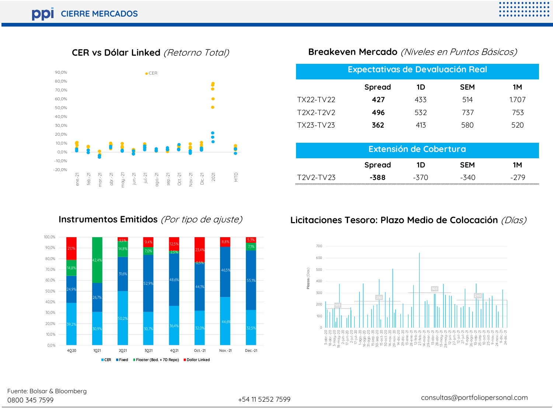**CER vs Dólar Linked** (Retorno Total)



**Breakeven Mercado** (Niveles en Puntos Básicos)

|           | <b>Expectativas de Devaluación Real</b> |     |            |       |
|-----------|-----------------------------------------|-----|------------|-------|
|           | Spread                                  | 1D  | <b>SEM</b> | 1М    |
| TX22-TV22 | 427                                     | 433 | 514        | 1.707 |
| T2X2-T2V2 | 496                                     | 532 | 737        | 753   |
| TX23-TV23 | 362                                     | 413 | 580        | 520   |

|                                   |      | Extensión de Cobertura |      |      |  |  |  |  |  |  |  |  |  |
|-----------------------------------|------|------------------------|------|------|--|--|--|--|--|--|--|--|--|
| Spread<br><b>SFM</b><br>1М<br>1D. |      |                        |      |      |  |  |  |  |  |  |  |  |  |
| T2V2-TV23                         | -388 | $-5/()$                | -340 | -279 |  |  |  |  |  |  |  |  |  |

#### **Instrumentos Emitidos** (Por tipo de ajuste)



#### **Licitaciones Tesoro: Plazo Medio de Colocación** (Días)

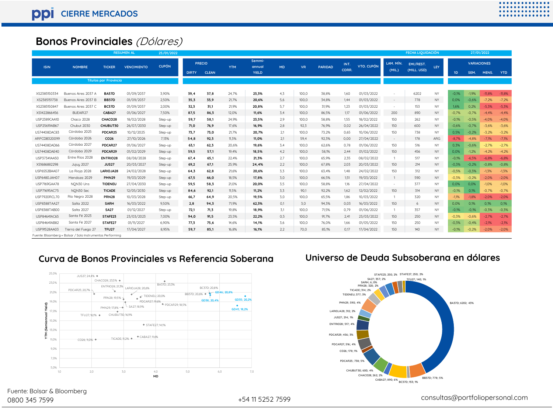## **Bonos Provinciales** (Dólares)

|              | -.  .__. . _.                                                                                             |                              |                    |              |              |                               |            |                           |           |           |                |               |                   |                     |                          |           |         |                            |          |            |
|--------------|-----------------------------------------------------------------------------------------------------------|------------------------------|--------------------|--------------|--------------|-------------------------------|------------|---------------------------|-----------|-----------|----------------|---------------|-------------------|---------------------|--------------------------|-----------|---------|----------------------------|----------|------------|
|              | <b>Bonos Provinciales</b> (Dólares)<br>FECHA LIQUIDACIÓN<br><b>RESUMEN AL</b><br>27/01/2022<br>25/01/2022 |                              |                    |              |              |                               |            |                           |           |           |                |               |                   |                     |                          |           |         |                            |          |            |
|              |                                                                                                           |                              |                    |              |              |                               |            |                           |           |           |                |               |                   |                     |                          |           |         |                            |          |            |
| <b>ISIN</b>  | <b>NOMBRE</b>                                                                                             | <b>TICKER</b>                | <b>VENCIMIENTO</b> | <b>CUPÓN</b> | <b>DIRTY</b> | <b>PRECIO</b><br><b>CLEAN</b> | <b>YTM</b> | Semmi-<br>annual<br>YIELD | <b>MD</b> | <b>VR</b> | <b>PARIDAD</b> | INT.<br>CORR. | <b>VTO, CUPÓN</b> | LAM. MÍN.<br>(MIL.) | EMI/REST.<br>(MILL. USD) | LEY       | 1D      | <b>VARIACIONES</b><br>SEM. | MENS.    | <b>YTD</b> |
|              |                                                                                                           | <b>Títulos por Provincia</b> |                    |              |              |                               |            |                           |           |           |                |               |                   |                     |                          |           |         |                            |          |            |
|              |                                                                                                           |                              |                    |              |              |                               |            |                           |           |           |                |               |                   |                     |                          |           |         |                            |          |            |
| XS2385150334 | Buenos Aires 2037 A                                                                                       | <b>BA37D</b>                 | 01/09/2037         | 3,90%        | 39.4         | 37,8                          | 24,7%      | 23,3%                     | 4,3       | 100,0     | 38,8%          | 1,60          | 01/03/2022        |                     | 6202                     | <b>NY</b> | $-0.1%$ | $-1,9%$                    | $-11,8%$ | $-11,8%$   |
| XS2385151738 | Buenos Aires 2037 B                                                                                       | <b>BB37D</b>                 | 01/09/2037         | 2.50%        | 35,3         | 33,9                          | 21,7%      | 20.6%                     | 5,6       | 100.0     | 34,8%          | 1.44          | 01/03/2022        | $\sim$              | 778                      | NY        | 0.0%    | $-0,6%$                    | $-7.2%$  | $-7,2%$    |
| XS2385150847 | Buenos Aires 2037 C                                                                                       | <b>BC37D</b>                 | 01/09/2037         | 2.00%        | 32,3         | 31,1                          | 21.9%      | 20.8%                     | 5,7       | 100.0     | 31,9%          | 1.23          | 01/03/2022        | $\sim$              | 153                      | <b>NY</b> | 1.6%    | 0.2%                       | $-5.3%$  | $-5.3%$    |
| XS1422866456 | BUEAIR27                                                                                                  | CABA27                       | 01/06/2027         | 7.50%        | 87,5         | 86,3                          | 12,0%      | 11.6%                     | 3,4       | 100,0     | 86,5%          | 1,17          | 01/06/2022        | 200                 | 890                      | NY        | $-0,7%$ | $-0.7%$                    | $-4.4%$  | $-4,4%$    |
| USP2389CAA10 | Chaco 2028                                                                                                | CHACO28                      | 18/02/2028         | Step-up      | 59,7         | 58,1                          | 24,9%      | 23,5%                     | 2,9       | 100,0     | 58,8%          | 1.55          | 18/02/2022        | 150                 | 262                      | <b>NY</b> | $-0.1%$ | $-0,5%$                    | $-4.0%$  | $-4,0%$    |
| USP25619AB67 | Chubut 2030                                                                                               | CHUBUT30                     | 26/07/2030         | Step-up      | 71,0         | 76,9                          | 17,6%      | 16,9%                     | 2,8       | 92,3      | 76,9%          | 0,02          | 26/04/2022        | 150                 | 600                      | NY        | $-0.6%$ | $-0,7%$                    | $-3.6%$  | $-3,6%$    |
| US74408DAC83 | Córdoba 2025                                                                                              | PDCAR25                      | 10/12/2025         | Step-up      | 73,7         | 73,0                          | 21.7%      | 20,7%                     | 2,1       | 100,0     | 73,2%          | 0,65          | 10/06/2022        | 150                 | 738                      | <b>NY</b> | 0,5%    | $-0,2%$                    | $-3.2%$  | $-3,2%$    |
| ARPCDB320099 | Córdoba 2026                                                                                              | CO <sub>26</sub>             | 27/10/2026         | 7.13%        | 54.8         | 92,3                          | 11.3%      | 11.0%                     | 2,1       | 59.4      | 92.3%          | 0.00          | 27/04/2022        | $\sim$              | 178                      | ARG       | $-8.7%$ | $-4,8%$                    | $-7.1%$  | $-7,1%$    |
| US74408DAD66 | Córdoba 2027                                                                                              | PDCAR27                      | 01/06/2027         | Step-up      | 63,1         | 62,3                          | 20.6%      | 19.6%                     | 3,4       | 100.0     | 62,6%          | 0.78          | 01/06/2022        | 150                 | 516                      | <b>NY</b> | 0.3%    | $-0.6%$                    | $-2.7%$  | $-2.7%$    |
| US74408DAE40 | Córdoba 2029                                                                                              | PDCAR29                      | 01/02/2029         | Step-up      | 59,5         | 57,1                          | 19,4%      | 18,5%                     | 4,2       | 100,0     | 58,1%          | 2,44          | 01/02/2022        | 150                 | 456                      | <b>NY</b> | 0,0%    | $-1,2%$                    | $-4,2%$  | $-4,2%$    |
| USP37341AA50 | Entre Ríos 2028                                                                                           | <b>ENTRIO28</b>              | 08/08/2028         | Step-up      | 67,4         | 65,1                          | 22.4%      | 21,3%                     | 2,7       | 100.0     | 65,9%          | 2.35          | 08/02/2022        | $\overline{1}$      | 517                      | <b>NY</b> | $-0.1%$ | $-6.5%$                    | $-6.8%$  | $-6.8%$    |
| XS1686882298 | <b>Jujuy 2027</b>                                                                                         | <b>JUS27</b>                 | 20/03/2027         | Step-up      | 69,2         | 67,1                          | 25.9%      | 24.4%                     | 2,2       | 100,0     | 67,8%          | 2.03          | 20/03/2022        | 150                 | 214                      | NY        | $-0.3%$ | $-0,2%$                    | $-0.8%$  | $-0,8%$    |
| USP6S52BAA07 | La Rioja 2028                                                                                             | LARIOJA28                    | 24/02/2028         | Step-up      | 64,3         | 62,8                          | 21.6%      | 20,6%                     | 3.3       | 100,0     | 63,4%          | 1.48          | 24/02/2022        | 150                 | 312                      | <b>NY</b> | $-0,5%$ | $-0,3%$                    | $-1.3%$  | $-1.3%$    |
| USP6480JAH07 | Mendoza 2029                                                                                              | <b>PMN29</b>                 | 19/03/2029         | Step-up      | 67,5         | 66,0                          | 18.5%      | 17,8%                     | 3,0       | 100,0     | 66,5%          | 1,51          | 19/03/2022        | $\overline{1}$      | 590                      | NY        | $-0,3%$ | $-0,2%$                    | $-2,0%$  | $-2,0%$    |
| USP7169GAA78 | NON30 Uns                                                                                                 | <b>TIDENEU</b>               | 27/04/2030         | Step-up      | 59,5         | 58,3                          | 21,0%      | 20,0%                     | 3,5       | 100,0     | 58,8%          | 1,16          | 27/04/2022        | $\sim$              | 377                      | <b>NY</b> | 0,0%    | 0,0%                       | $-1.0%$  | $-1,0%$    |
| USP71695AC75 | NON30 Sec                                                                                                 | <b>TICADE</b>                | 12/05/2030         | Step-up      | 84,6         | 92,1                          | 11,5%      | 11,2%                     | 3,3       | 90,1      | 92,2%          | 1,62          | 12/02/2022        | 150                 | 314                      | NY        | $-0,1%$ | 0,1%                       | $-0.7%$  | $-0,7%$    |
| USP7920RCL70 | Río Negro 2028                                                                                            | <b>PRN28</b>                 | 10/03/2028         | Step-up      | 66,7         | 64,9                          | 20.5%      | 19.5%                     | 3.0       | 100,0     | 65,5%          | 1.86          | 10/03/2022        | $\overline{1}$      | 320                      | <b>NY</b> | $-1.1%$ | $-1.8%$                    | $-2.0%$  | $-2.0%$    |
| USP8388TAA27 | Salta 2022                                                                                                | <b>SARH</b>                  | 16/03/2022         | 9.50%        | 2,8          | 94,3                          | 71.9%      | 62.3%                     | 0.1       | 3.0       | 94.3%          | 0.03          | 16/03/2022        | 150                 | 6                        | NY        | 0.0%    | 0.1%                       | 0.1%     | 0.1%       |
| USP8388TAB00 | Salta 2027                                                                                                | <b>SA27</b>                  | 01/12/2027         | Step-up      | 72,1         | 71,3                          | 19,8%      | 18,9%                     | 3,1       | 100,0     | 71,5%          | 0,79          | 01/06/2022        | $\overline{1}$      | 357                      | NY        | $-0,1%$ | $-0,1%$                    | $-0.3%$  | $-0,3%$    |
| USP84641AC65 | Santa Fé 2023                                                                                             | STAFE23                      | 23/03/2023         | 7,00%        | 94,0         | 91,5                          | 23,5%      | 22,2%                     | 0,5       | 100,0     | 91,7%          | 2,41          | 23/03/2022        | 150                 | 250                      | NY        | $-0.3%$ | $-0,6%$                    | $-2.7%$  | $-2,7%$    |
| USP84641AB82 | Santa Fé 2027                                                                                             | STAFE27                      | 01/11/2027         | 6.90%        | 77,3         | 75,6                          | 14.6%      | 14,1%                     | 3,6       | 100,0     | 76,0%          | 1.66          | 01/05/2022        | 150                 | 250                      | <b>NY</b> | $-0.3%$ | $-0.4%$                    | $-2.1%$  | $-2.1%$    |
| USP91528AA03 | Fierra del Fuego 27                                                                                       | TFU <sub>27</sub>            | 17/04/2027         | 8.95%        | 59,7         | 85,1                          | 16,8%      | 16,1%                     | 2,2       | 70,0      | 85,1%          | 0.17          | 17/04/2022        | 150                 | 140                      | NY        | $-0.1%$ | $-0,2%$                    | $-2,0%$  | $-2,0%$    |
|              | Fuente: Bloomberg + Bolsar / Solo Instrumentos Performing                                                 |                              |                    |              |              |                               |            |                           |           |           |                |               |                   |                     |                          |           |         |                            |          |            |

#### **Curva de Bonos Provinciales vs Referencia Soberana**



#### **Universo de Deuda Subsoberana en dólares**



0800 345 7599 +54 11 5252 7599 consultas@portfoliopersonal.com Fuente: Bolsar & Bloomberg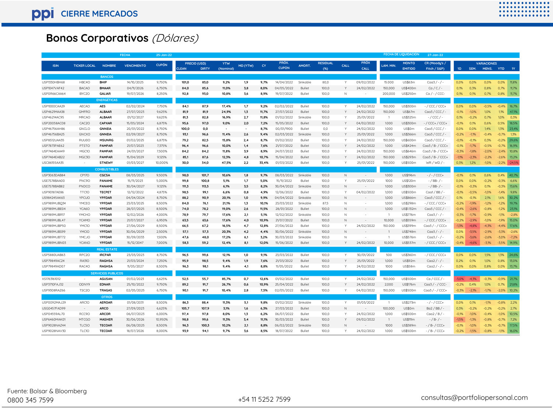# **Bonos Corporativos** (Dólares)

|                              |                              |                               | <b>FECHA</b>             | 25-Jan-22        |               |              |                                  |          |              |                          |                         |                 |              |                          |                           | <b>FECHA DE LIQUIDACIÓN</b> | 27-Jan-22                            |                 |                 |                    |                    |               |
|------------------------------|------------------------------|-------------------------------|--------------------------|------------------|---------------|--------------|----------------------------------|----------|--------------|--------------------------|-------------------------|-----------------|--------------|--------------------------|---------------------------|-----------------------------|--------------------------------------|-----------------|-----------------|--------------------|--------------------|---------------|
|                              |                              |                               |                          |                  | PRECIO (USD)  |              | <b>YTW</b>                       |          |              | PRÓX.                    |                         | <b>RESIDUAL</b> |              | <b>PROX</b>              |                           | <b>MONTO</b>                | CR (Moody's /                        |                 |                 | <b>VARIACIONES</b> |                    |               |
| <b>ISIN</b>                  | <b>TICKER LOCAL</b>          | <b>NOMBRE</b>                 | <b>VENCIMIENTO</b>       | <b>CUPÓN</b>     | <b>CLEAN</b>  | <b>DIRTY</b> | (Nominal)                        | MD (YTW) | <b>CY</b>    | <b>CUPÓN</b>             | AMORT.                  | $(*)$           | CALL         | CALL                     | LAM. MIN                  | <b>EMITIDO</b>              | Fitch / S&P)                         | 1D              | SEM.            | MENS.              | <b>YTD</b>         | <b>1Y</b>     |
|                              |                              |                               |                          |                  |               |              |                                  |          |              |                          |                         |                 |              |                          |                           |                             |                                      |                 |                 |                    |                    |               |
|                              | HBC4O                        | <b>BANCOS</b><br><b>BHIP</b>  | 14/10/2025               | 9,750%           |               | 83,0         |                                  |          |              | 14/04/2022               | Sinkable                | 0,08            | Y            | 09/02/2022               | 15,000                    | US\$63m                     | $Caa3 / - / -$                       |                 | 0.0%            | 0.0%               | 0.0%               | 11,8%         |
| USP1330HBH68                 |                              |                               |                          |                  | 101,0         |              | 9,2%                             | 1,9      | 9,7%         |                          |                         |                 |              |                          |                           |                             |                                      | 0,0%            |                 |                    |                    |               |
| USP1047VAF42<br>USP0R66CAA64 | <b>BACAO</b><br>BYC2O        | <b>BMAAR</b><br><b>GALIAR</b> | 04/11/2026               | 6,750%<br>8.250% | 84,0<br>92,8  | 85,6         | 11,0%<br>10.8%                   | 3,8      | 8,0%<br>8.9% | 04/05/2022<br>19/07/2022 | <b>Bullet</b><br>Bullet | 100,0<br>100.0  | N            | 24/02/2022               | 150,000<br>200,000        | US\$400m<br>US\$250m        | $Ca/C/-$                             | 0,1%<br>0.1%    | 0,3%<br>0.1%    | 0,8%<br>0.7%       | 0,7%<br>0.8%       | 11,7%         |
|                              |                              |                               | 19/07/2026               |                  |               | 93,0         |                                  | 3,6      |              |                          |                         |                 |              |                          |                           |                             | $Ca$ / - / CCC-                      |                 |                 |                    |                    | 11,7%         |
|                              |                              | <b>ENERGÉTICAS</b>            |                          |                  |               |              |                                  |          |              |                          |                         |                 |              |                          |                           |                             |                                      |                 |                 |                    |                    |               |
| USP1000CAA29                 | <b>AECAO</b>                 | <b>AES</b>                    | 02/02/2024               | 7,750%           | 84,1          | 87,9         | 17,4%                            | 1,7      | 9,2%         | 02/02/2022               | Bullet                  | 100,0           |              | 24/02/2022               | 150,000                   | US\$300m                    | $-$ / CCC / CCC+                     | 0.0%            | 0.0%            | $-0,5%$            | $-0.4%$            | 16.7%         |
| USP4621MAA38                 | <b>GMFRO</b><br><b>MRCAO</b> | <b>ALBAAR</b>                 | 27/07/2023               | 9,625%           | 81,9          | 81,9         | 24,9%                            | 1,3      | 11,7%        | 27/07/2022               | Bullet                  | 100,0           |              | 24/02/2022               | 150,000<br>$\overline{1}$ | US\$67m                     | $Caa3 / CCC$ / -                     | $-0,1%$         | $-1,0%$         | 1.0%               | 1,1%               | 47,1%         |
| USP46214AC95<br>USP20058AC08 | CAC2O                        | <b>ALBAAR</b><br>CAPXAR       | 01/12/2027               | 9,625%<br>6,875% | 81,3          | 82,8         | 16,9%                            | 2,7      | 11.8%        | 01/02/2022<br>15/05/2022 | Sinkable                | 100,0           |              | 25/01/2022               | 1.000                     | US\$325m                    | $-$ / CCC / $-$<br>$-$ / CCC+ / CCC+ | 0.1%            | $-0.2%$<br>O 1% | 0.7%               | 1.0%<br>0.5%       | 0,3%<br>18,5% |
| USP46756AH86                 | GNCLO                        | <b>GNNEIA</b>                 | 15/05/2024<br>20/01/2022 | 8,750%           | 95,6<br>100,0 | 97,0<br>0,0  | 9,0%<br>$\overline{\phantom{a}}$ | 2,0      | 7,2%<br>8,7% | 00/01/1900               | <b>Bullet</b><br>Bullet | 100,0<br>0,0    |              | 04/02/2022<br>24/02/2022 | 1.000                     | US\$300m<br>US\$0m          | Caa3 / CCC/                          | $-0,1%$<br>0,0% | 0.0%            | 0,6%<br>1.4%       | 1,3%               | 23,4%         |
| USP46756BA25                 | <b>GNCXO</b>                 | <b>GNNEIA</b>                 | 02/09/2027               | 8.750%           | 93,1          | 96,6         | 11,4%                            | 2,6      | 9.4%         | 02/03/2022               | Sinkable                | 100,0           |              | 25/01/2022               | 1.000                     | US\$366m                    | Caa3 / CCC / -                       | 0,2%            | $-1.1%$         | .04%               | $-0.79$            | 1,3%          |
| USP8S12UAA35                 | RUU0O                        | <b>MSUNRG</b>                 | 01/02/2025               | 6,875%           | 79,2          | 82,5         | 15,8%                            | 2,4      | 8,7%         | 01/02/2022               | Bullet                  | 100,0           |              | 24/02/2022               | 150,000                   | US\$600m                    | Caa3 / CCC/                          | $-0,1%$         | $-0.1%$         | 0.3%               | $-0.2%$            | 29,6%         |
| USP7873PAE62                 | PTSTO                        | <b>PAMPAR</b>                 | 21/07/2023               | 7.375%           | 96,4          | 96,6         | 10.0%                            | 1.4      | 7.6%         | 21/07/2022               | Bullet                  | 100,0           |              | 24/02/2022               | 1.000                     | US\$424m                    | $Caa3/B- / CCC+$                     | $-0.1%$         | $-17%$          | $-0.5%$            | $-0.7%$            | 16,9%         |
| USP7464EAA49                 | MGC10                        | PAMPAR                        | 24/01/2027               | 7,500%           | 84,2          | 84,2         | 11,8%                            | 3,9      | 8,9%         | 24/07/2022               | <b>Bullet</b>           | 100,0           |              | 24/02/2022               | 150,000                   | US\$646m                    | $Caa3/B-$ / $CCC+$                   | $-0.3%$         | $-1,8%$         | $-2,0%$            | $-2.4%$            | 10,8%         |
| USP7464EAB22                 | MGC3O                        | <b>PAMPAR</b>                 | 15/04/2029               | 9.125%           | 85,1          | 87.6         | 12.3%                            | 4.8      | 10.7%        | 15/04/2022               | Bullet                  | 100,0           |              | 24/02/2022               | 150,000                   | US\$293m                    | $Caa3/B-/CCC+$                       | $-1.1%$         | $-2.3%$         | $-2.2%$            | $-2.6%$            | 13,2%         |
| USC86155AA35                 |                              | STNEWY                        | 01/03/2027               | 10,000%          | 30,0          | 34,0         | 47,5%                            | 2,2      | 33,4%        | 01/03/2022               | Bullet                  | 100,0           |              | 25/01/2022               | 150,000                   | US\$500m                    | $WR/WD/$ -                           | 0,3%            | 1,2%            | $-1,0%$            | $-2,2\%$ $-24,5\%$ |               |
|                              |                              | <b>COMBUSTIBLES</b>           |                          |                  |               |              |                                  |          |              |                          |                         |                 |              |                          |                           |                             |                                      |                 |                 |                    |                    |               |
| USP3063DAB84                 | <b>CP17O</b>                 | CGCSA                         | 08/03/2025               | 9,500%           | 98,0          | 101,7        | 10,6%                            | 1,8      | 9,7%         | 08/03/2022               | Sinkable                | 100,0           | $\mathbb N$  | $\sim$                   | 1.000                     | US\$196m                    | $-$ / $-$ / CCC+                     | $-0,1%$         | 0.1%            | 0,6%               | 0,4%               | 40,7%         |
| USE7S78BAA00                 | PNC9O                        | PANAME                        | 15/11/2023               | 5.000%           | 99,8          | 100,8        | 5,1%                             | 1,7      | 5,0%         | 15/11/2022               | Bullet                  | 100,0           | Y            | 25/01/2022               | 1000                      | US\$120m                    | $-$ / BB- / -                        | 0.0%            | 0.0%            | $-0,2%$            | $-0.39$            | 6.6%          |
| USE7S78BAB82                 | PNDCO                        | PANAME                        | 30/04/2027               | 9,125%           | 111,3         | 113,5        | 6,1%                             | 3,5      | 8,2%         | 30/04/2022               | Sinkable                | 100,0           | N            |                          | 1.000                     | US\$300m                    | $-$ / BB- / -                        | $-0,1%$         | $-0.3%$         | 0,1%               | $-0.3%$            | 13,6%         |
| USP90187AE86                 | TTC10                        | <b>TECPET</b>                 | 12/12/2022               | 4,875%           | 98,5          | 99,1         | 6,6%                             | 0,8      | 4,9%         | 12/06/2022               | <b>Bullet</b>           | 100,0           | Y            | 04/02/2022               | 1,000                     | US\$500m                    | $Caal / BB / \cdot$                  | $-0,1%$         | $-0,5%$         | $-1,0%$            | $-1,4%$            | 9,8%          |
| US984245AK63                 | YPCUO                        | YPFDAR                        | 04/04/2024               | 8,750%           | 88,2          | 90,9         | 20,1%                            | 1,0      | 9,9%         | 04/04/2022               | Sinkable                | 100,0           | $\mathbb N$  |                          | 1,000                     | US\$866m                    | $Caa3 / CCC$ / -                     | 0,1%            | $-0.1%$         | 2,1%               | 1.6%               | 30,2%         |
| USP989MJBQ34                 | YMCEO                        | YPFDAR                        | 23/03/2025               | 8,500%           | 84,0          | 76,1         | 21,1%                            | 1,3      | 10,1%        | 23/03/2022               | Sinkable                | 87,5            | N            |                          | 1,000                     | US\$298m                    | - / CCC / CCC+                       | 0,2%            | $-1,9%$         | $-1,2%$            | $-1,2%$            | 19,7%         |
| USP989MJBE04                 | YCA6O                        | YPFDAR                        | 28/07/2025               | 8,500%           | 74,0          | 78,2         | 19,0%                            | 2,6      | 11,5%        | 28/01/2022               | Bullet                  | 100,0           | $\mathbb N$  |                          | 1,000                     | US\$1.132m                  | Caa3 / CCC/                          | 0.4%            | $-2,6%$         | $-0,8%$            | $-1,2%$            | 23,1%         |
| USP989MJBR17                 | YMCHO                        | YPFDAR                        | 12/02/2026               | 4,000%           | 78,9          | 79,7         | 17,6%                            | 2,1      | 5,1%         | 12/02/2022               | Sinkable                | 100,0           | N            | ٠                        | $\overline{1}$            | US\$776m                    | Caa3 / - / -                         | $-0,3%$         | $-1,7%$         | $-0,9%$            | $-1,1%$            | $-2,8%$       |
| USP989MJBL47                 | <b>YCAMO</b>                 | YPFDAR                        | 21/07/2027               | 6.950%           | 63,5          | 63,6         | 17,6%                            | 4,0      | 10.9%        | 21/07/2022               | Bullet                  | 100,0           |              |                          | 10.000                    | US\$559m                    | $1/CCC/CCC+$                         | 0.2%            | $-2.9%$         | $-1.0%$            | $-1.9%$            | 15,0%         |
| USP989MJBP50                 | YMC10                        | YPFDAR                        | 27/06/2029               | 8,500%           | 66,5          | 67,2         | 16,5%                            | 4,7      | 12,8%        | 27/06/2022               | Bullet                  | 100,0           | $\mathsf{Y}$ | 24/02/2022               | 150.000                   | US\$399m                    | Caa3 / - / CCC+                      | 1,3%            | $-4.8%$         | $-4,3%$            | 44%                | 17,6%         |
| USP989MJBS99                 | YMCIO                        | YPFDAR                        | 30/06/2029               | 2.500%           | 57,1          | 57.3         | 20.3%                            | 4.2      | 4,4%         | 30/06/2022               | Sinkable                | 100,0           | N            |                          |                           | US\$748m                    | Caa3/-/-                             | 0.0%            | $-3.5%$         | $-2.9%$            | $-3.3%$            | $-2,6%$       |
| USP989MJBT72                 | YMCJO                        | YPFDAR                        | 30/09/2033               | 1,500%           | 47,6          | 48,0         | 17,2%                            | 6,1      | 3,2%         | 30/03/2022               | Sinkable                | 100,0           | N            | ×                        | $\overline{1}$            | US\$576m                    | $Caa3 / - / -$                       | 0,2%            | $-3,6%$         | $-2,6%$            | -3,0%              | $-7,2%$       |
| USP989MJBN03                 | <b>YCANO</b>                 | YPFDAR                        | 15/12/2047               | 7,000%           | 58,3          | 59,2         | 12,4%                            | 8,1      | 12,0%        | 15/06/2022               | Bullet                  | 100,0           |              | 24/02/2022               | 10,000                    | US\$537m                    | -/CCC/CCC+                           | $-0.4%$         | $-4,6%$         | $-3,1%$            | $-3,5%$            | 14,9%         |
|                              |                              | <b>REAL ESTATE</b>            |                          |                  |               |              |                                  |          |              |                          |                         |                 |              |                          |                           |                             |                                      |                 |                 |                    |                    |               |
| USP5880UAB63                 | RPC <sub>20</sub>            | <b>IRCPAR</b>                 | 23/03/2023               | 8,750%           | 96,5          | 99,6         | 12,1%                            | 1,0      | 9,1%         | 23/03/2022               | Bullet                  | 100,0           |              | 30/01/2022               | 500                       | US\$360m                    | $-$ / CCC / CCC+                     | 0,0%            | 0.0%            | 1,5%               | 1,3%               | 24,6%         |
| USP79849AC24                 | <b>RA310</b>                 | <b>RAGHSA</b>                 | 21/03/2024               | 7,250%           | 95,9          | 98,5         | 9,4%                             | 1,9      | 7,6%         | 21/03/2022               | Bullet                  | 100,0           |              | 25/01/2022               | 1,000                     | US\$92m                     | $C \alpha a 2 / - / -$               | 0,2%            | O 1%            | 1,0%               | 0,8%               | 13,0%         |
| USP79849AD07                 | RAC4O                        | <b>RAGHSA</b>                 | 11/05/2027               | 8,500%           | 96,3          | 98,1         | 9,4%                             | 4,1      | 8.8%         | 11/05/2022               | Bullet                  | 100,0           | Y            | 24/02/2022               | 1000                      | US\$58m                     | $C \alpha a 2 / - / -$               | 0,0%            | 0.0%            | 0.8%               | 0.0%               | 13,7%         |
|                              |                              | <b>SERVICIOS PUBLICOS</b>     |                          |                  |               |              |                                  |          |              |                          |                         |                 |              |                          |                           |                             |                                      |                 |                 |                    |                    |               |
| XS1763161012                 |                              | <b>AGUSAN</b>                 | 01/02/2023               | 6.625%           | 52,5          | 55.7         | 85,7%                            | 0.7      | 12.6%        | 01/02/2022               | Bullet                  | 100.0           |              | 24/02/2022               | 150,000                   | US\$500m                    | Ca/CCC/                              | 3.0%            | $-4.3%$         | $-0.3%$            | $-0.9%$            | 21.7%         |
| USP3710FAJ32                 | ODNY9                        | <b>EDNAR</b>                  | 25/10/2022               | 9.750%           | 89,2          | 91,7         | 26,7%                            | 0,6      | 10.9%        | 25/04/2022               | Bullet                  | 100,0           |              | 24/02/2022               | 2,000                     | US\$176m                    | $Caa3 / - / CCC$                     | 0,2%            | 0.4%            | 1.0%               | 0.7%               | 21,8%         |
| USP9308RAZ66                 | TSC <sub>2</sub> O           | <b>TRAGAS</b>                 | 02/05/2025               | 6,750%           | 90,1          | 91,7         | 10,4%                            | 2,8      | 7,5%         | 02/05/2022               | Bullet                  | 100,0           | Y            | 04/02/2022               | 150,000                   | US\$500m                    | $Caa3 / - / CCG$                     | $-0,3%$         | $-2,1%$         | $-1,7%$            | $-2,0\%$ 10,2%     |               |
|                              |                              | <b>OTROS</b>                  |                          |                  |               |              |                                  |          |              |                          |                         |                 |              |                          |                           |                             |                                      |                 |                 |                    |                    |               |
| USP0092MAJ29                 | ARC1O                        | <b>AEROAR</b>                 | 01/08/2031               | 8.500%           | 86,3          | 88,4         | 11,3%                            | 5,1      | 9,8%         | 01/02/2022               | Sinkable                | 100,0           | Y            | 01/03/2022               | $\overline{1}$            | US\$273m                    | $-$ / $-$ / CCC+                     | 0.0%            | 0.1%            | $-1.1%$            | $-0.8%$            | 2,2%          |
| USG0457FAD99                 | $\sim$                       | <b>ARCO</b>                   | 27/09/2023               | 6,625%           | 105,7         | 107,9        | 3,1%                             | 1,6      | 6,3%         | 27/03/2022               | Bullet                  | 100,0           | $\mathbb N$  |                          | 100,000                   | US\$0m                      | $Ba2 / BB / -$                       | 0.3%            | $-0.2%$         | $-0,2%$            | $-0,2%$            | 2,7%          |
| USP04559AL70                 | RCC9O                        | <b>ARCOR</b>                  | 06/07/2023               | 6,000%           | 97,4          | 97,8         | 8,0%                             | 1,3      | 6,2%         | 06/07/2022               | Bullet                  | 100,0           | $\vee$       | 24/02/2022               | 1,000                     | US\$500m                    | $Caa2/B/$ -                          | $-0,1%$         | $-1,0%$         | $-0.4%$            | $-1.0%$            | 10,5%         |
| USP6460MAK01                 | <b>MTCGO</b>                 | <b>MASHER</b>                 | 30/06/2026               | 10.950%          | 98,8          | 99,6         | 11,3%                            | 3,4      | 11.1%        | 30/03/2022               | Bullet                  | 100,0           |              | 09/02/2022               | $\overline{1}$            | <b>US\$111m</b>             | - / B- / -                           | 1,5%            | $-1,3%$         | $-0,8%$            | $-0.7%$            | 7,2%          |
| USP9028NAZ44                 | TLC5O                        | <b>TECOAR</b>                 | 06/08/2025               | 8,500%           | 96,3          | 100,3        | 10,2%                            | 2,1      | 8,8%         | 06/02/2022               | Sinkable                | 100,0           | N            |                          | 1000                      | US\$389m                    | - / B- / CCC+                        | $-0,1%$         | $-1,0%$         | $-0,3%$            | $-0,7%$            | 17,5%         |
| USP9028NAV30                 | TLC10                        | <b>TECOAR</b>                 | 18/07/2026               | 8.000%           | 93.9          | 94.1         | 9.7%                             | 3.6      | 8.5%         | 18/07/2022               | Bullet                  | 100.0           | Y            | 24/02/2022               | 1.000                     | US\$500m                    | - / B- / CCC+                        | 0.2%            | $-1.5%$         | $-0.8%$            | $-1.1%$            | 16.0%         |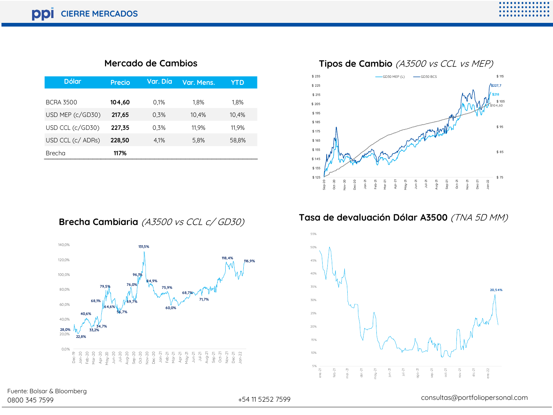#### **Mercado de Cambios**

| <b>Dólar</b>      | Precio | Var. Día | Var. Mens. | YTD   |
|-------------------|--------|----------|------------|-------|
| <b>BCRA 3500</b>  | 104.60 | 0.1%     | 1.8%       | 1.8%  |
| USD MEP (c/GD30)  | 217.65 | 0.3%     | 10.4%      | 10.4% |
| USD CCL (c/GD30)  | 227,35 | 0.3%     | 11.9%      | 11.9% |
| USD CCL (c/ ADRs) | 228,50 | 4.1%     | 5.8%       | 58.8% |
| Brecha            | 117%   |          |            |       |







**Tasa de devaluación Dólar A3500** (TNA 5D MM)



# Fuente: Bolsar & Bloomberg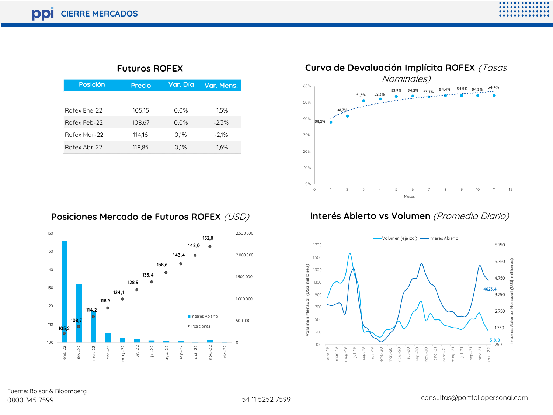| <b>Futuros ROFEX</b> |
|----------------------|
|----------------------|

| Posición     | Precio | Var. Día | Var. Mens. |
|--------------|--------|----------|------------|
|              |        |          |            |
| Rofex Ene-22 | 105,15 | 0.0%     | $-1.5%$    |
| Rofex Feb-22 | 108.67 | 0.0%     | $-2.3%$    |
| Rofex Mar-22 | 114.16 | 0.1%     | $-2.1%$    |
| Rofex Abr-22 | 118,85 | 0.1%     | $-1.6%$    |



#### **Posiciones Mercado de Futuros ROFEX** (USD)



#### **Interés Abierto vs Volumen** (Promedio Diario)



Fuente: Bolsar & Bloomberg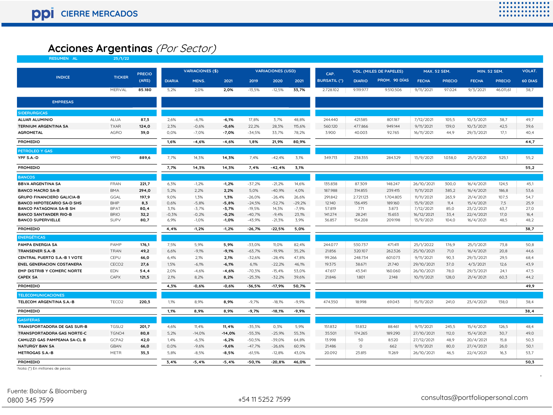#### **Acciones Argentinas** (Por Sector)

| <b>RESUMEN AL</b>                   | 25/1/22           |               |               |                         |          |          |                          |          |                     |               |                                |                     |               |                     |               |         |
|-------------------------------------|-------------------|---------------|---------------|-------------------------|----------|----------|--------------------------|----------|---------------------|---------------|--------------------------------|---------------------|---------------|---------------------|---------------|---------|
|                                     |                   | <b>PRECIO</b> |               | <b>VARIACIONES (\$)</b> |          |          | <b>VARIACIONES (USD)</b> |          | CAP.                |               | <b>VOL. (MILES DE PAPELES)</b> | <b>MAX. 52 SEM.</b> |               | <b>MIN. 52 SEM.</b> |               | VOLAT.  |
| <b>INDICE</b>                       | <b>TICKER</b>     | (ARS)         | <b>DIARIA</b> | MENS.                   | 2021     | 2019     | 2020                     | 2021     | <b>BURSATIL (*)</b> | <b>DIARIO</b> | PROM. 90 DÍAS                  | <b>FECHA</b>        | <b>PRECIO</b> | <b>FECHA</b>        | <b>PRECIO</b> | 60 DIAS |
|                                     | MERVAL            | 85.180        | 5,2%          | 2,0%                    | 2,0%     | $-13,5%$ | $-12,5%$                 | 33,7%    | 2.728.102           | 9.119.977     | 9.510.506                      | 9/11/2021           | 97.024        | 9/3/2021            | 46.011,61     | 38,7    |
| <b>EMPRESAS</b>                     |                   |               |               |                         |          |          |                          |          |                     |               |                                |                     |               |                     |               |         |
| <b>SIDERURGICAS</b>                 |                   |               |               |                         |          |          |                          |          |                     |               |                                |                     |               |                     |               |         |
| <b>ALUAR ALUMINIO</b>               | <b>ALUA</b>       | 87,3          | 2,6%          | $-6,1%$                 | $-6,1%$  | 17,8%    | 3,7%                     | 48,8%    | 244,440             | 421.585       | 801.187                        | 7/12/2021           | 105,5         | 10/3/2021           | 38,7          | 49,7    |
| <b>TERNIUM ARGENTINA SA</b>         | <b>TXAR</b>       | 124,0         | 2,3%          | $-0,6%$                 | $-0,6%$  | 22,2%    | 28,3%                    | 115,6%   | 560.120             | 477.866       | 949.144                        | 9/11/2021           | 139,0         | 10/3/2021           | 42,5          | 39,6    |
| <b>AGROMETAL</b>                    | <b>AGRO</b>       | 39.0          | 0.0%          | $-7.0%$                 | $-7,0%$  | $-34,5%$ | 33,7%                    | 78,2%    | 3.900               | 40.003        | 92.765                         | 16/11/2021          | 44.9          | 29/3/2021           | 17.1          | 40,4    |
| <b>PROMEDIO</b>                     |                   |               | 1,6%          | $-4,6%$                 | $-4,6%$  | 1,8%     | 21,9%                    | 80,9%    |                     |               |                                |                     |               |                     |               | 44,7    |
| PETROLEO Y GAS                      |                   |               |               |                         |          |          |                          |          |                     |               |                                |                     |               |                     |               |         |
| YPF S.A.-D                          | YPFD              | 889,6         | 7,7%          | 14,3%                   | 14,3%    | 7.4%     | $-42,4%$                 | 3,1%     | 349.713             | 238.355       | 284.329                        | 13/9/2021           | 1.038.0       | 25/1/2021           | 525.1         | 55,2    |
| <b>PROMEDIO</b>                     |                   |               | 7,7%          | 14,3%                   | 14,3%    | 7,4%     | $-42,4%$                 | 3,1%     |                     |               |                                |                     |               |                     |               | 55,2    |
| <b>BANCOS</b>                       |                   |               |               |                         |          |          |                          |          |                     |               |                                |                     |               |                     |               |         |
| <b>BBVA ARGENTINA SA</b>            | <b>FRAN</b>       | 221,7         | 6,3%          | $-1,2%$                 | $-1,2%$  | $-37,2%$ | $-21,2%$                 | 14,6%    | 135.838             | 87.309        | 148.247                        | 26/10/2021          | 300,0         | 16/4/2021           | 124,5         | 45,1    |
| <b>BANCO MACRO SA-B</b>             | <b>BMA</b>        | 294,0         | 5,2%          | 2,2%                    | 2,2%     | 5,0%     | $-40.9%$                 | 4,0%     | 187.988             | 314.855       | 239.415                        | 11/11/2021          | 385,2         | 16/4/2021           | 186,8         | 53,6    |
| <b>GRUPO FINANCIERO GALICIA-B</b>   | GGAL              | 197,9         | 9,0%          | 1,3%                    | 1,3%     | $-26,0%$ | $-26,4%$                 | 26,6%    | 291.842             | 2.721.123     | 1.704.805                      | 11/11/2021          | 263,9         | 21/4/2021           | 107,5         | 54,7    |
| <b>BANCO HIPOTECARIO SA-D SHS</b>   | <b>BHIP</b>       | 8,3           | 0,6%          | $-5,8%$                 | $-5,8%$  | $-24,5%$ | $-52,7%$                 | $-29,2%$ | 12.140              | 136.495       | 189.160                        | 13/9/2021           | 11,4          | 15/4/2021           | 7,5           | 25,9    |
| <b>BANCO PATAGONIA SA-B SH</b>      | <b>BPAT</b>       | 80,4          | 3,1%          | $-3,7%$                 | $-3,7%$  | $-19,5%$ | 14,3%                    | $-7,9%$  | 57.819              | 771           | 3.873                          | 7/12/2021           | 85,0          | 23/2/2021           | 63,7          | 27,0    |
| <b>BANCO SANTANDER RIO-B</b>        | <b>BRIO</b>       | 32,2          | $-0,3%$       | $-0,2%$                 | $-0,2%$  | $-40,7%$ | $-9,4%$                  | 23,1%    | 141.274             | 28.241        | 15.653                         | 16/12/2021          | 33,4          | 22/4/2021           | 17,0          | 16,4    |
| <b>BANCO SUPERVIELLE</b>            | SUPV              | 80,7          | 6,9%          | $-1,0%$                 | $-1,0%$  | $-43,9%$ | $-21,3%$                 | 3,9%     | 36.857              | 154.208       | 209.198                        | 13/9/2021           | 104,0         | 16/4/2021           | 48.5          | 48,2    |
| <b>PROMEDIO</b>                     |                   |               | 4,4%          | $-1,2%$                 | $-1,2%$  | $-26,7%$ | $-22,5%$                 | 5,0%     |                     |               |                                |                     |               |                     |               | 38,7    |
| <b>ENERGÉTICAS</b>                  |                   |               |               |                         |          |          |                          |          |                     |               |                                |                     |               |                     |               |         |
| <b>PAMPA ENERGIA SA</b>             | PAMP              | 176,1         | 7,5%          | 5,9%                    | 5,9%     | $-33,0%$ | 11,0%                    | 82,4%    | 244.077             | 530.737       | 471,411                        | 25/1/2022           | 176,9         | 25/1/2021           | 73,8          | 50,8    |
| <b>TRANSENER S.A.-B</b>             | TRAN              | 49,2          | 6,6%          | $-9,1%$                 | $-9,1%$  | $-63,7%$ | $-19,9%$                 | 35,2%    | 21.856              | 320.107       | 262.326                        | 25/10/2021          | 71,0          | 16/4/2021           | 20,8          | 44,6    |
| <b>CENTRAL PUERTO S.A.-B 1 VOTE</b> | CEPU              | 66,0          | 6.4%          | 2,1%                    | 2,1%     | $-32,6%$ | $-28,4%$                 | 47,8%    | 99.266              | 248.734       | 601.073                        | 9/11/2021           | 90.3          | 29/3/2021           | 29.5          | 68,4    |
| <b>ENEL GENERACION COSTANERA</b>    | CECO <sub>2</sub> | 27,6          | 1,5%          | $-6,1%$                 | $-6,1%$  | 6,1%     | $-22.2%$                 | 46,1%    | 19.375              | 38.671        | 21,740                         | 29/10/2021          | 37,0          | 4/3/2021            | 12,6          | 43,9    |
| EMP DISTRIB Y COMERC NORTE          | <b>EDN</b>        | 54,4          | 2,0%          | $-4,6%$                 | $-4,6%$  | $-70,3%$ | $-15,4%$                 | 53,0%    | 47.617              | 43.341        | 160.060                        | 26/10/2021          | 78,0          | 29/3/2021           | 24,1          | 47,5    |
| <b>CAPEX SA</b>                     | CAPX              | 121,5         | 2,1%          | 8,2%                    | 8,2%     | $-25,3%$ | $-32,2%$                 | 39,6%    | 21.846              | 1.801         | 2.148                          | 10/11/2021          | 128,0         | 21/4/2021           | 60.3          | 44,2    |
| <b>PROMEDIO</b>                     |                   |               | 4,3%          | $-0.6%$                 | $-0,6%$  | $-36,5%$ | $-17,9%$                 | 50,7%    |                     |               |                                |                     |               |                     |               | 49,9    |
| <b>TELECOMUNICACIONES</b>           |                   |               |               |                         |          |          |                          |          |                     |               |                                |                     |               |                     |               |         |
| <b>TELECOM ARGENTINA S.A.-B</b>     | TECO <sub>2</sub> | 220.3         | 1,1%          | 8.9%                    | 8.9%     | $-9.7%$  | $-18,1%$                 | $-9,9%$  | 474.350             | 18.998        | 69.043                         | 15/11/2021          | 241,0         | 23/4/2021           | 138.0         | 38,4    |
| <b>PROMEDIO</b>                     |                   |               | 1,1%          | 8,9%                    | 8,9%     | $-9,7%$  | $-18,1%$                 | $-9,9%$  |                     |               |                                |                     |               |                     |               | 38,4    |
| <b>GASIFERAS</b>                    |                   |               |               |                         |          |          |                          |          |                     |               |                                |                     |               |                     |               |         |
| TRANSPORTADORA DE GAS SUR-B         | TGSU2             | 201,7         | 4,6%          | 11,4%                   | 11,4%    | $-35,3%$ | 0,3%                     | 5,9%     | 151.832             | 51.832        | 88.461                         | 9/11/2021           | 245,5         | 15/4/2021           | 126,5         | 48,4    |
| <b>TRANSPORTADORA GAS NORTE-C</b>   | TGNO4             | 80,8          | 5,2%          | $-14,0%$                | $-14,0%$ | $-55,3%$ | $-25,9%$                 | 55,3%    | 35.501              | 174.265       | 189.290                        | 27/10/2021          | 112,0         | 15/4/2021           | 30,7          | 49,0    |
| CAMUZZI GAS PAMPEANA SA-CL B        | GCPA2             | 42,0          | 1,4%          | $-6,3%$                 | $-6,2%$  | $-50,5%$ | $-39,0%$                 | 64,8%    | 13.998              | 50            | 8.520                          | 27/12/2021          | 48,9          | 20/4/2021           | 15,8          | 50,3    |
| <b>NATURGY BAN SA</b>               | <b>GBAN</b>       | 66,0          | 0,0%          | $-9,6%$                 | $-9,6%$  | $-47,7%$ | $-26,6%$                 | 60,9%    | 21.486              | $\Omega$      | 662                            | 9/11/2021           | 80,0          | 27/4/2021           | 26,0          | 50,1    |
| <b>METROGAS S.A.-B</b>              | <b>METR</b>       | 35.3          | 5.8%          | $-8.5%$                 | $-8,5%$  | $-61,5%$ | $-12,8%$                 | 43,0%    | 20.092              | 23.815        | 11.269                         | 26/10/2021          | 46.5          | 22/4/2021           | 16.3          | 53,7    |
| <b>PROMEDIO</b>                     |                   |               | 3.4%          | $-5.4%$                 | $-5.4%$  | $-50.1%$ | $-20.8%$                 | 46.0%    |                     |               |                                |                     |               |                     |               | 50.3    |

Nota: (\*) En millones de pesos

**,**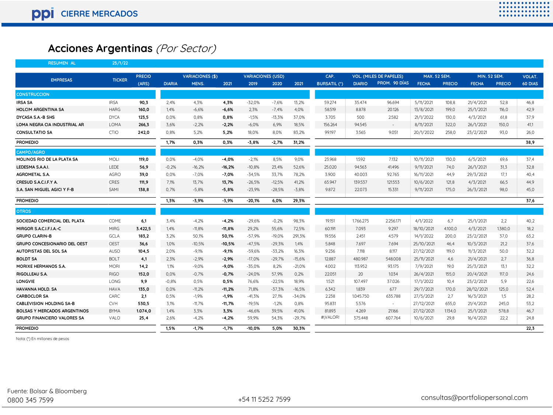# **Acciones Argentinas** (Por Sector)

| <b>RESUMEN AL</b>                   | 25/1/22       |               |               |                         |          |                          |          |          |                     |               |                                |                     |               |                     |               |               |
|-------------------------------------|---------------|---------------|---------------|-------------------------|----------|--------------------------|----------|----------|---------------------|---------------|--------------------------------|---------------------|---------------|---------------------|---------------|---------------|
|                                     |               | <b>PRECIO</b> |               | <b>VARIACIONES (\$)</b> |          | <b>VARIACIONES (USD)</b> |          |          | CAP.                |               | <b>VOL. (MILES DE PAPELES)</b> | <b>MAX. 52 SEM.</b> |               | <b>MIN. 52 SEM.</b> |               | <b>VOLAT.</b> |
| <b>EMPRESAS</b>                     | <b>TICKER</b> | (ARS)         | <b>DIARIA</b> | MENS.                   | 2021     | 2019                     | 2020     | 2021     | <b>BURSATIL (*)</b> | <b>DIARIO</b> | PROM. 90 DÍAS                  | <b>FECHA</b>        | <b>PRECIO</b> | <b>FECHA</b>        | <b>PRECIO</b> | 60 DIAS       |
| <b>CONSTRUCCION</b>                 |               |               |               |                         |          |                          |          |          |                     |               |                                |                     |               |                     |               |               |
| <b>IRSA SA</b>                      | <b>IRSA</b>   | 90,3          | 2.4%          | 4.3%                    | 4.3%     | $-32.0%$                 | $-7.6%$  | 13.2%    | 59.274              | 35.474        | 96.694                         | 5/11/2021           | 108.8         | 21/4/2021           | 52.8          | 46.8          |
| <b>HOLCIM ARGENTINA SA</b>          | <b>HARG</b>   | 160.0         | 1,4%          | $-6.6%$                 | $-6.6%$  | 2.3%                     | $-7.4%$  | 4,0%     | 58.519              | 8.878         | 20.126                         | 13/8/2021           | 199,0         | 25/1/2021           | 116.0         | 42,9          |
| DYCASA S.A.-B SHS                   | <b>DYCA</b>   | 123.5         | 0,0%          | 0,8%                    | 0,8%     | $-1,5%$                  | $-13.3%$ | 37,0%    | 3.705               | 500           | 2582                           | 21/1/2022           | 130,0         | 4/3/2021            | 61.8          | 37,9          |
| LOMA NEGRA CIA INDUSTRIAL AR        | LOMA          | 266,3         | 3,6%          | $-2,2%$                 | $-2,2%$  | $-6,0%$                  | 6.9%     | 18,5%    | 156.264             | 94.545        | $\sim$                         | 8/11/2021           | 322,0         | 26/1/2021           | 150,0         | 41,1          |
| <b>CONSULTATIO SA</b>               | CTIO          | 242,0         | 0,8%          | 5,2%                    | 5,2%     | 18,0%                    | 8,0%     | 83,2%    | 99.197              | 3.565         | 9.051                          | 20/1/2022           | 258,0         | 23/2/2021           | 93.0          | 26,0          |
| <b>PROMEDIO</b>                     |               |               | 1,7%          | 0,3%                    | 0,3%     | $-3,8%$                  | $-2,7%$  | 31,2%    |                     |               |                                |                     |               |                     |               | 38,9          |
| <b>CAMPO/AGRO</b>                   |               |               |               |                         |          |                          |          |          |                     |               |                                |                     |               |                     |               |               |
| MOLINOS RIO DE LA PLATA SA          | MOLI          | 119,0         | 0,0%          | $-4,0%$                 | $-4,0%$  | $-2,1%$                  | 8,5%     | 9,0%     | 23.968              | 1.592         | 7.132                          | 10/11/2021          | 130,0         | 6/5/2021            | 69,6          | 37,4          |
| LEDESMA S.A.A.I.                    | LEDE          | 56,9          | $-0,2%$       | $-16,2%$                | $-16,2%$ | $-10,8%$                 | 23,4%    | 52,6%    | 25.020              | 94.563        | 41.496                         | 9/11/2021           | 74,0          | 26/1/2021           | 31,3          | 32,8          |
| <b>AGROMETAL S.A.</b>               | <b>AGRO</b>   | 39,0          | 0,0%          | $-7,0%$                 | $-7,0%$  | $-34,5%$                 | 33,7%    | 78,2%    | 3.900               | 40.003        | 92.765                         | 16/11/2021          | 44,9          | 29/3/2021           | 17,1          | 40.4          |
| CRESUD S.A.C.I.F.Y A.               | <b>CRES</b>   | 111,9         | 7,1%          | 13,7%                   | 13,7%    | $-26,5%$                 | $-12,5%$ | 41,2%    | 65.947              | 139.537       | 121.553                        | 10/6/2021           | 121,8         | 4/3/2021            | 66,5          | 44,9          |
| S.A. SAN MIGUEL AGICI Y F-B         | SAMI          | 138.8         | 0.7%          | $-5.8%$                 | $-5.8%$  | $-23.9%$                 | $-28,5%$ | $-3,8%$  | 9.872               | 22.073        | 15.331                         | 9/11/2021           | 175.0         | 26/3/2021           | 98.0          | 45.0          |
| <b>PROMEDIO</b>                     |               |               | 1,3%          | -3,9%                   | $-3,9%$  | $-20,1%$                 | 6,0%     | 29,3%    |                     |               |                                |                     |               |                     |               | 37,6          |
| <b>OTROS</b>                        |               |               |               |                         |          |                          |          |          |                     |               |                                |                     |               |                     |               |               |
| SOCIEDAD COMERCIAL DEL PLATA        | COME          | 6,1           | 3,4%          | $-4,2%$                 | $-4,2%$  | $-29,6%$                 | $-0.2%$  | 98,3%    | 19.151              | 1.766.275     | 2.256.171                      | 4/1/2022            | 6,7           | 25/1/2021           | 2,2           | 40,2          |
| MIRGOR S.A.C.I.F.I.A.-C             | <b>MIRG</b>   | 3.422,5       | 1,4%          | $-11,8%$                | $-11,8%$ | 29,2%                    | 55,6%    | 72,5%    | 60.191              | 7.093         | 9.297                          | 18/10/2021          | 4.100,0       | 4/3/2021            | 1.380,0       | 18,2          |
| <b>GRUPO CLARIN-B</b>               | <b>GCLA</b>   | 183,2         | 3,2%          | 50,1%                   | 50,1%    | $-57,9%$                 | $-19,0%$ | 291,3%   | 19.556              | 2.451         | 4.579                          | 14/1/2022           | 200,0         | 23/2/2021           | 37,0          | 63,2          |
| <b>GRUPO CONCESIONARIO DEL OEST</b> | <b>OEST</b>   | 36,6          | 1,0%          | $-10.5%$                | $-10,5%$ | $-47,5%$                 | $-29.3%$ | 1,4%     | 5.848               | 7.697         | 7.694                          | 25/10/2021          | 46,4          | 10/3/2021           | 21,2          | 37,6          |
| AUTOPISTAS DEL SOL SA               | <b>AUSO</b>   | 104,5         | 2,0%          | $-9,1%$                 | $-9,1%$  | $-59.6%$                 | $-33.2%$ | 16,3%    | 9.236               | 7.118         | 8.117                          | 27/12/2021          | 119,0         | 11/3/2021           | 50.0          | 32,2          |
| <b>BOLDT SA</b>                     | <b>BOLT</b>   | 4,1           | 2,3%          | $-2.9%$                 | $-2,9%$  | $-17,0%$                 | $-29.7%$ | $-15,6%$ | 12.887              | 480.987       | 548.008                        | 25/11/2021          | 4,6           | 21/4/2021           | 2,7           | 36,8          |
| <b>MORIXE HERMANOS S.A.</b>         | MORI          | 14,2          | 1,1%          | $-9,0%$                 | $-9,0%$  | $-35,0%$                 | 8.2%     | $-21,0%$ | 4.002               | 113.952       | 93.175                         | 7/9/2021            | 19,0          | 25/3/2021           | 13.1          | 32.2          |
| RIGOLLEAU S.A.                      | <b>RIGO</b>   | 152.0         | 0,0%          | $-0,7%$                 | $-0,7%$  | $-24,0%$                 | 57.9%    | 0,2%     | 22.051              | 20            | 1.034                          | 26/4/2021           | 155.0         | 20/4/2021           | 117.0         | 24.6          |
| <b>LONGVIE</b>                      | LONG          | 9,9           | $-0,8%$       | 0,5%                    | 0,5%     | 76,6%                    | $-22,5%$ | 18,9%    | 1.521               | 107.497       | 37.026                         | 17/1/2022           | 10,4          | 23/2/2021           | 5.9           | 22.6          |
| HAVANNA HOLD, SA                    | <b>HAVA</b>   | 135,0         | 0,0%          | $-11,2%$                | $-11,2%$ | 71,8%                    | $-37,3%$ | $-16,5%$ | 6.342               | 1.839         | 677                            | 29/7/2021           | 170,0         | 28/12/2021          | 125,0         | 52,4          |
| <b>CARBOCLOR SA</b>                 | CARC          | 2,1           | 0,5%          | $-1,9%$                 | $-1,9%$  | $-41,3%$                 | 27,1%    | $-34,0%$ | 2.238               | 1.045.750     | 635.788                        | 27/5/2021           | 2,7           | 16/3/2021           | 1.5           | 28,2          |
| <b>CABLEVISION HOLDING SA-B</b>     | <b>CVH</b>    | 530,5         | 3,1%          | $-11,7%$                | $-11,7%$ | $-19,5%$                 | $-1,2%$  | 0,8%     | 95.831              | 5.576         | $\sim$                         | 27/12/2021          | 655,0         | 21/4/2021           | 245,0         | 53,2          |
| <b>BOLSAS Y MERCADOS ARGENTINOS</b> | <b>BYMA</b>   | 1.074,0       | 1,4%          | 3,3%                    | 3,3%     | $-46,6%$                 | 39,5%    | 41,0%    | 81.893              | 4.269         | 21.166                         | 27/12/2021          | 1.134,0       | 25/1/2021           | 578,8         | 46,7          |
| <b>GRUPO FINANCIERO VALORES SA</b>  | VALO          | 25,4          | 2,6%          | $-4,2%$                 | $-4,2%$  | 59,9%                    | 54,3%    | $-29,7%$ | #¡VALOR!            | 375.448       | 607.764                        | 10/6/2021           | 29,8          | 16/4/2021           | 22,2          | 24,8          |
| <b>PROMEDIO</b>                     |               |               | 1.5%          | $-1.7%$                 | $-1.7%$  | $-10.0%$                 | 5.0%     | 30.3%    |                     |               |                                |                     |               |                     |               | 22.3          |

Nota: (\*) En millones de pesos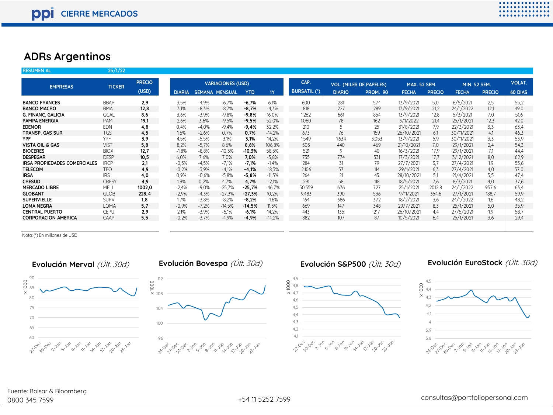#### **ADRs Argentinos**

**DIARIA SEMANA MENSUAL YTD 1 Y DIARIO PROM. 90 FECHA PRECIO FECHA PRECIO 60 DIAS BANCO FRANCES** BBAR **2,9** 3,5% -4,9% -6,7% **-6,7%** 6,1% 600 281 574 13/9/2021 5,0 6/5/2021 2,5 55,2 **BANCO MACRO** BMA **12,8** 3,1% -8,3% -8,7% **-8,7%** -4,3% 818 227 289 13/9/2021 21,2 24/1/2022 12,1 49,0 **G. FINANC. GALICIA** GGAL **8,6** 3,6% -3,9% -9,8% **-9,8%** 16,0% 1.262 661 854 13/9/2021 12,8 5/3/2021 7,0 51,6 **PAMPA ENERGIA** PAM **19,1** 2,6% 3,6% -9,5% **-9,5%** 52,0% 1.060 7 8 162 3/1/2022 21,4 25/1/2021 12,3 42,0 **EDENOR** EDN **4,8** 0,4% -4,0% -9,4% **-9,4%** 32,2% 210 5 25 31/8/2021 7,9 22/3/2021 3,3 63,4 **TRANSP. GAS SUR** TGS **4,5** 1,6% -2,6% 0,7% **0,7%** -14,2% 673 7 6 159 26/10/2021 6,1 30/11/2021 4,1 46,3 **YPF** YPF **3,9** 4,5% -5,5% 3,1% **3,1%** 14,2% 1.549 1.634 3.053 13/9/2021 5,9 30/11/2021 3,3 53,9 **VISTA OIL & GAS** VIST **5,8** 8,2% -5,7% 8,6% **8,6%** 106,8% 503 440 469 21/10/2021 7,0 29/1/2021 2,4 54,3 **BIOCERES** BIOX **12,7** -1,8% -8,8% -10,3% **-10,3%** 58,5% 521 9 40 16/3/2021 17,9 29/1/2021 7,1 44,4 **DESPEGAR** DESP **10,5** 6,0% 7,6% 7,0% **7,0%** -3,8% 735 774 531 17/3/2021 17,7 3/12/2021 8,0 62,9 **IRSA PROPIEDADES COMERCIALES** IRCP **2,1** -0,5% -4,5% -7,1% -7,1% -1,4% 284 31 79 27/7/2021 3,7 27/4/2021 1,9 55,6 **TELECOM** TEO **4,9** -0,2% -3,9% -4,1% **-4,1%** -18,3% 2.106 57 114 29/1/2021 6,3 27/4/2021 4,0 37,0 **IRSA** IRS **4,0** 0,9% -0,6% -5,8% **-5,8%** -11,5% 264 21 43 28/10/2021 5,1 21/4/2021 3,5 47,4 **CRESUD** CRESY **4,9** 1,9% 0,2% 4,7% **4,7%** -2,1% 291 58 118 18/5/2021 7,6 8/3/2021 4,0 37,6 **MERCADO LIBRE** MELI **1002,0** -2,4% -9,0% -25,7% **-25,7%** -46,7% 50.559 676 727 25/1/2021 2012,8 24/1/2022 957,6 63,4 **GLOBANT** GLOB **228,4** -2,9% -4,3% -27,3% **-27,3%** 10,2% 9.483 390 536 9/11/2021 354,6 27/1/2021 188,7 59,9 **SUPERVIELLE** SUPV **1,8** 1,7% -3,8% -8,2% **-8,2%** -1,6% 164 386 372 18/2/2021 3,6 24/1/2022 1,6 48,2 **LOMA NEGRA** LOMA **5,7** -0,9% -7,2% -14,5% **-14,5%** 11,3% 669 147 348 29/7/2021 8,3 25/1/2021 5,0 35,9 **CENTRAL PUERTO** CEPU **2,9** 2,1% -3,9% -6,1% **-6,1%** 14,2% 443 135 217 26/10/2021 4,4 27/5/2021 1,9 58,7 **CORPORACION AMERICA** CAAP **5,5** -0,2% -3,7% -4,9% **-4,9%** -14,2% 882 107 87 10/5/2021 6,4 25/1/2021 3,6 29,4 **RESUMEN AL 25/1/22 EMPRESAS TICKER PRECIO (USD) VARIACIONES (USD) CAP. BURSATIL (\*) VOL. (MILES DE PAPELES) MAX. 52 SEM. MIN. 52 SEM. VOLAT.**

Nota: (\*) En millones de USD

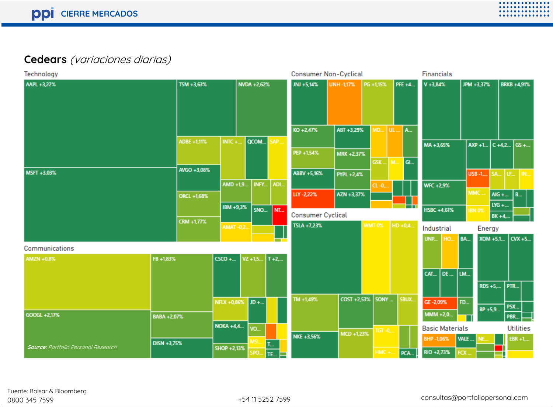# **Cedears** (variaciones diarias)

| Technology                                 |             |                  |                  |      | <b>Consumer Non-Cyclical</b> |                   |               |                | <b>Financials</b>      |             |                 |                        |                  |
|--------------------------------------------|-------------|------------------|------------------|------|------------------------------|-------------------|---------------|----------------|------------------------|-------------|-----------------|------------------------|------------------|
| AAPL +3,22%                                | TSM +3,63%  |                  | NVDA +2,62%      |      | JNJ +5,14%                   | UNH -1,17%        | PG +1,15%     | PFE +4         | V +3,84%               |             | JPM +3,37%      | <b>BRKB +4.91%</b>     |                  |
|                                            |             |                  |                  |      | KO +2,47%                    | ABT +3,29%        |               | <b>MD</b> UL A |                        |             |                 |                        |                  |
|                                            | ADBE +1,11% | INTC $+$         | QCOM SAP.        |      |                              |                   |               |                | MA+3,65%               |             | AXP +1 C +4,2   |                        | $G5 + $          |
|                                            |             |                  |                  |      | PEP +1,54%                   | MRK +2,37%        |               | GSK    M   GI  |                        |             |                 |                        |                  |
| MSFT +3,03%                                | AVGO +3,08% |                  |                  |      | ABBV +5,16%                  | <b>PYPL +2,4%</b> |               |                |                        |             | USB-1, SA LF IN |                        |                  |
|                                            |             | $AMD + 1.9$      | INFY             | ADI. |                              |                   | $CL -0.$      |                | WFC +2,9%              |             |                 |                        |                  |
|                                            | ORCL +1,68% |                  |                  |      | LLY-2,22%                    | AZN +3,37%        |               |                |                        | MMC.        |                 | AIG + B                |                  |
|                                            |             | IBM +9,3%        | <b>SNO</b>       | NT.  | <b>Consumer Cyclical</b>     |                   |               | ٣u             | HSBC +4,61%            |             | <b>IBN 0%</b>   | LYG +<br><b>BK +4,</b> |                  |
|                                            | CRM +1,77%  | <b>AMAT -0,2</b> |                  |      | TSLA +7,23%                  |                   | <b>WMT 0%</b> | HD +0,4        | Industrial             |             | Energy          |                        |                  |
|                                            |             |                  |                  |      |                              |                   |               |                | <b>UNP</b><br>HO.      | <b>BA</b>   | XOM +5,1        |                        | CVX +5           |
| Communications<br>AMZN +0,8%               | FB +1,83%   | $CSCO + $        | $VZ + 1.5$ T +2, |      |                              |                   |               |                |                        |             |                 |                        |                  |
|                                            |             |                  |                  |      |                              |                   |               |                | DE  LM<br>CAT          |             |                 |                        |                  |
|                                            |             |                  |                  |      |                              |                   |               |                |                        |             | RDS +5,         | PTR                    |                  |
|                                            |             | NFLX +0,86% JD + |                  |      | TM +1,49%                    | COST +2.53%       | SONY          | SBUX           | GE-2,09%               | FD          |                 | PSX                    |                  |
| GOOGL +2,17%                               | BABA +2,07% |                  |                  |      |                              |                   |               |                | $MMM + 2,0$            |             | BP +5,9         | PBR.                   |                  |
|                                            |             | <b>NOKA +4,4</b> | VO.              |      |                              | $MCD + 1,23%$     | $TGT - 0$     |                | <b>Basic Materials</b> |             |                 |                        | <b>Utilities</b> |
|                                            | DISN +3.75% |                  | MSI              |      | NKE +3,56%                   |                   |               |                | BHP-1,06%              | <b>VALE</b> |                 |                        | $EBR + 1, $      |
| <b>Source: Portfolio Personal Research</b> |             | SHOP +2,13%      | SPO              | TE.  |                              |                   | $HMC +$ .     | PCA.           | RIO +2,73%             | FCX         |                 |                        |                  |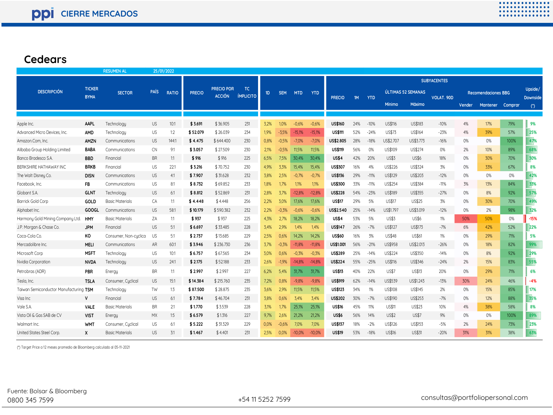### **Cedears**

|                                        |                              | <b>RESUMEN AL</b>      | 25/01/2022  |              |               |                                    |                               |      |            |            |            |                    |     |            |                    |               |            |                            |          |         |                            |
|----------------------------------------|------------------------------|------------------------|-------------|--------------|---------------|------------------------------------|-------------------------------|------|------------|------------|------------|--------------------|-----|------------|--------------------|---------------|------------|----------------------------|----------|---------|----------------------------|
|                                        | <b>TICKER</b><br><b>BYMA</b> | <b>SECTOR</b>          | <b>PAÍS</b> | <b>RATIO</b> | <b>PRECIO</b> | <b>PRECIO POR</b><br><b>ACCIÓN</b> | <b>TC</b><br><b>ÍMPLICITO</b> | 1D   | <b>SEM</b> | <b>MTD</b> | <b>YTD</b> | <b>SUBYACENTES</b> |     |            |                    |               |            |                            |          |         |                            |
| <b>DESCRIPCIÓN</b>                     |                              |                        |             |              |               |                                    |                               |      |            |            |            | <b>PRECIO</b>      | 1M  | <b>YTD</b> | ÚLTIMAS 52 SEMANAS |               | VOLAT. 90D | <b>Recomendaciones BBG</b> |          |         | Upside/<br><b>Downside</b> |
|                                        |                              |                        |             |              |               |                                    |                               |      |            |            |            |                    |     |            | <b>Mínimo</b>      | <b>Máximo</b> |            | Vender                     | Mantener | Comprar | $(*)$                      |
|                                        |                              |                        |             |              |               |                                    |                               |      |            |            |            |                    |     |            |                    |               |            |                            |          |         |                            |
| Apple Inc.                             | <b>AAPL</b>                  | Technologu             | US          | 10:1         | \$3.691       | \$36.905                           | 231                           | 3.2% | 1.0%       | $-0.6%$    | $-0,6%$    | <b>US\$160</b>     | 24% | $-10%$     | US\$116            | US\$183       | $-10%$     | 4%                         | 17%      | 79%     | 9%                         |
| Advanced Micro Devices. Inc.           | <b>AMD</b>                   | Technology             | <b>US</b>   | 1:2          | \$52.079      | \$26.039                           | 234                           | 1.9% | $-3.5%$    | $-15,1%$   | $-15,1%$   | <b>US\$111</b>     | 52% | $-24%$     | US\$73             | US\$164       | $-23%$     | 4%                         | 39%      | 57%     | 25%                        |
| Amazon.Com, Inc.                       | AMZN                         | Communications         | <b>US</b>   | 144:1        | \$4.475       | \$644.400                          | 230                           | 0,8% | $-0,5%$    | $-7,0%$    | $-7,0%$    | US\$2.805          | 28% | $-18%$     | US\$2.707          | US\$3.773     | $-16%$     | 0%                         | 0%       | 100%    | 47%                        |
| Alibaba Group Holding Limited          | <b>BABA</b>                  | Communications         | <b>CN</b>   | 9:1          | \$3.057       | \$27.509                           | 230                           | 2.1% | $-0.5%$    | 11.5%      | 11,5%      | <b>US\$119</b>     | 56% | 0%         | US\$109            | US\$274       | 0%         | 2%                         | 10%      | 89%     | 68%                        |
| Banco Bradesco S.A                     | <b>BBD</b>                   | Financial              | <b>BR</b>   | 1:1          | \$916         | \$916                              | 225                           | 6.5% | 7.5%       | 30,4%      | 30,4%      | <b>US\$4</b>       | 42% | 20%        | <b>US\$3</b>       | <b>US\$6</b>  | 18%        | 0%                         | 30%      | 70%     | 30%                        |
| BERKSHIRE HATHAWAY INC                 | <b>BRKB</b>                  | Financial              | <b>US</b>   | 22:1         | \$3.216       | \$70.752                           | 230                           | 4.9% | 3.3%       | 15.4%      | 15,4%      | US\$307            | 16% | 4%         | US\$226            | US\$324       | 3%         | 0%                         | 33%      | 67%     | 8%                         |
| The Walt Disney Co.                    | <b>DISN</b>                  | Communications         | <b>US</b>   | 4:1          | \$7.907       | \$31.628                           | 232                           | 3.8% | 2.5%       | $-0.7%$    | $-0,7%$    | US\$136            | 29% | $-11%$     | US\$129            | US\$203       | $-12%$     | 0%                         | 0%       | 0%      | 42%                        |
| Facebook. Inc.                         | <b>FB</b>                    | Communications         | US.         | 8:1          | \$8.732       | \$69.852                           | 233                           | 1.8% | 1.7%       | 1.1%       | 1.1%       | US\$300            | 33% | $-11%$     | US\$254            | US\$384       | $-11%$     | 3%                         | 13%      | 84%     | 33%                        |
| Globant S.A.                           | <b>GLNT</b>                  | Technology             | <b>US</b>   | 6:1          | \$8.812       | \$52.869                           | 231                           | 2.8% | 37%        | $-12,8%$   | $-12,8%$   | <b>US\$228</b>     | 54% | $-23%$     | US\$189            | US\$355       | $-27%$     | 0%                         | 8%       | 92%     | 57%                        |
| Barrick Gold Corp                      | GOLD                         | <b>Basic Materials</b> | CA          | 1:1          | \$4.448       | \$4.448                            | 256                           | 2,2% | 3.0%       | 17,6%      | 17,6%      | <b>US\$17</b>      | 29% | 5%         | US\$17             | US\$25        | 3%         | 0%                         | 30%      | 70%     | 49%                        |
| Alphabet Inc.                          | GOOGL                        | Communications         | <b>US</b>   | 58:1         | \$10.179      | \$590.382                          | 232                           | 2,2% | $-0.3%$    | $-0.6%$    | $-0,6%$    | US\$2.540          | 25% | $-14%$     | US\$1.797          | US\$3.019     | $-12%$     | 0%                         | 2%       | 98%     | 32%                        |
| Harmony Gold Mining Company Ltd.       | <b>HMY</b>                   | <b>Basic Materials</b> | ΖA          | 1:1          | \$937         | \$937                              | 225                           | 4,3% | 27%        | 18,2%      | 18,2%      | <b>US\$4</b>       | 53% | 5%         | US\$3              | <b>US\$6</b>  | 1%         | 50%                        | 50%      | 0%      | $-15%$                     |
| J.P. Morgan & Chase Co.                | <b>JPM</b>                   | Financial              | <b>US</b>   | 5:1          | \$6.697       | \$33.485                           | 228                           | 3.4% | 2.9%       | 1.4%       | 1,4%       | US\$147            | 26% | $-7%$      | US\$127            | US\$173       | $-7%$      | 6%                         | 42%      | 52%     | 22%                        |
| Coca-Cola Co.                          | KO                           | Consumer, Non-cuclica  | US          | 5:1          | \$2.737       | \$13.685                           | 229                           | 2,5% | 0.6%       | 14,2%      | 14,2%      | <b>US\$60</b>      | 16% | 3%         | US\$48             | <b>US\$61</b> | 1%         | 0%                         | 29%      | 71%     | 5%                         |
| Mercadolibre Inc.                      | MELI                         | Communications         | AR          | 60:1         | \$3.946       | \$236.730                          | 236                           | 3.7% | $-0.3%$    | $-11.8%$   | $-11,8%$   | US\$1,001          | 56% | $-21%$     | US\$958            | US\$2.013     | $-26%$     | 0%                         | 18%      | 82%     | 99%                        |
| Microsoft Corp                         | <b>MSFT</b>                  | Technology             | US.         | 10:1         | \$6.757       | \$67.565                           | 234                           | 3.0% | 0.6%       | $-0.3%$    | $-0,3%$    | US\$289            | 25% | $-14%$     | US\$224            | US\$350       | $-14%$     | 0%                         | 8%       | 92%     | 29%                        |
| Nvidia Corporation                     | <b>NVDA</b>                  | Technology             | US.         | 24:1         | \$2.175       | \$52.188                           | 233                           | 2,6% | $-1.9%$    | $-14,8%$   | $-14,8%$   | US\$224            | 55% | $-25%$     | US\$116            | US\$346       | $-24%$     | 2%                         | 15%      | 83%     | 55%                        |
| Petrobras (ADR)                        | PBR                          | Energy                 | <b>BR</b>   | 1:1          | \$2.997       | \$2.997                            | 227                           | 6.2% | 5.4%       | 31.7%      | 31,7%      | <b>US\$13</b>      | 40% | 22%        | US\$7              | <b>US\$13</b> | 20%        | 0%                         | 29%      | 71%     | 6%                         |
| Tesla, Inc.                            | <b>TSLA</b>                  | Consumer, Cuclical     | <b>US</b>   | 15:1         | \$14.384      | \$215.760                          | 235                           | 7.2% | 0.8%       | $-9.8%$    | $-9,8%$    | <b>US\$919</b>     | 62% | $-14%$     | US\$539            | US\$1,243     | $-13%$     | 30%                        | 24%      | 46%     | $-4%$                      |
| Taiwan Semiconductor Manufacturing TSM |                              | Technology             | TW          | 1:3          | \$87.500      | \$28.875                           | 235                           | 3,6% | 2.9%       | 11,5%      | 11,5%      | US\$123            | 34% | 1%         | US\$108            | US\$145       | 2%         | 0%                         | 15%      | 85%     | 17%                        |
| Visa Inc                               | $\mathsf{V}$                 | Financial              | US.         | 6:1          | \$7.784       | \$46.704                           | 231                           | 3.8% | 0.6%       | 3.4%       | 3,4%       | US\$202            | 30% | $-7%$      | US\$190            | US\$253       | $-7%$      | 0%                         | 12%      | 88%     | 35%                        |
| Vale S.A.                              | VALE                         | <b>Basic Materials</b> | BR          | 2:1          | \$1.770       | \$3.539                            | 228                           | 3.1% | 1.7%       | 25,1%      | 25,1%      | <b>US\$16</b>      | 45% | 11%        | US\$11             | US\$23        | 10%        | 4%                         | 38%      | 58%     | 8%                         |
| Vista Oil & Gas SAB de CV              | <b>VIST</b>                  | Energy                 | <b>MX</b>   | 1:5          | \$6.579       | \$1.316                            | 227                           | 9.7% |            | 21.2%      | 21,2%      | <b>US\$6</b>       | 56% | 14%        | <b>US\$2</b>       | US\$7         | 9%         | 0%                         | 0%       | 100%    | 89%                        |
| Walmart Inc.                           | <b>WMT</b>                   | Consumer, Cyclical     | US          | 6:1          | \$5.222       | \$31.329                           | 229                           | 0.0% | $-0.6%$    | 7.0%       | 7,0%       | US\$137            | 18% | $-2%$      | US\$126            | US\$153       | $-5%$      | 2%                         | 24%      | 73%     | 23%                        |
| United States Steel Corp               | X                            | <b>Basic Materials</b> | US.         | 3:1          | \$1.467       | \$4.401                            | 231                           | 2,5% | 0.0%       | $-10,0%$   | $-10,0%$   | <b>US\$19</b>      | 53% | $-18%$     | US\$16             | <b>US\$31</b> | $-20%$     | 31%                        | 31%      | 38%     | 63%                        |

(\*) Target Price a 12 meses promedio de Bloomberg calculado al 05-11-2021